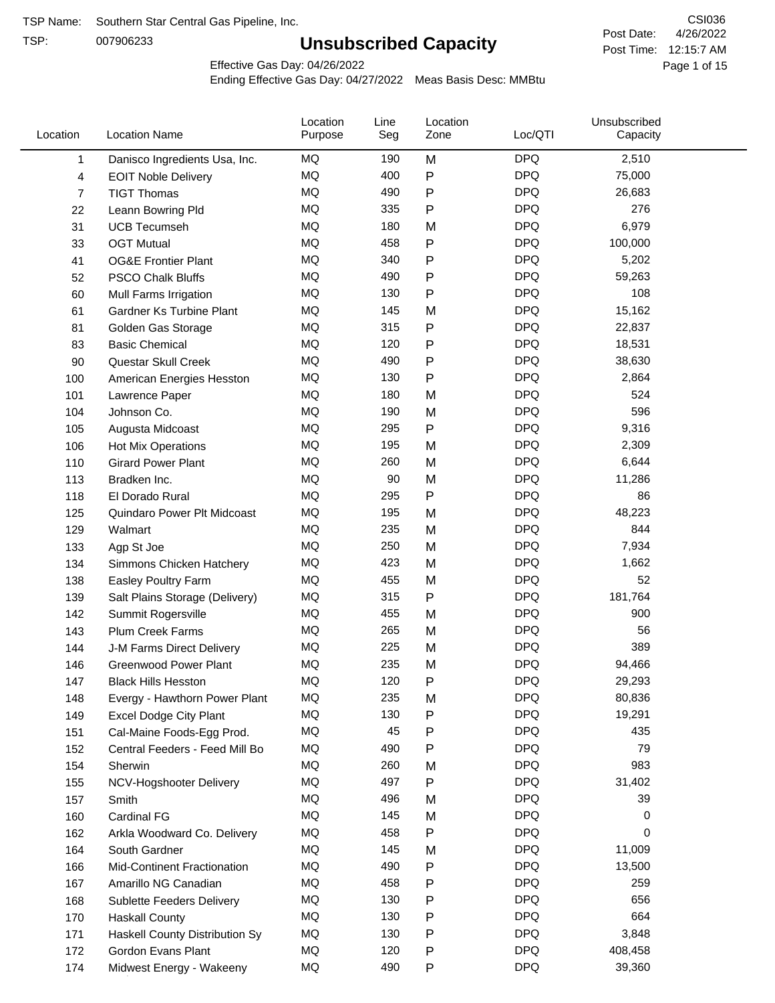TSP:

## **Unsubscribed Capacity**

4/26/2022 Page 1 of 15 Post Time: 12:15:7 AM CSI036 Post Date:

Effective Gas Day: 04/26/2022

| Location       | <b>Location Name</b>           | Location<br>Purpose | Line<br>Seg | Location<br>Zone | Loc/QTI    | Unsubscribed<br>Capacity |  |
|----------------|--------------------------------|---------------------|-------------|------------------|------------|--------------------------|--|
| 1              | Danisco Ingredients Usa, Inc.  | MQ                  | 190         | M                | <b>DPQ</b> | 2,510                    |  |
| 4              | <b>EOIT Noble Delivery</b>     | MQ                  | 400         | P                | <b>DPQ</b> | 75,000                   |  |
| $\overline{7}$ | <b>TIGT Thomas</b>             | MQ                  | 490         | P                | <b>DPQ</b> | 26,683                   |  |
| 22             | Leann Bowring Pld              | MQ                  | 335         | P                | <b>DPQ</b> | 276                      |  |
| 31             | <b>UCB Tecumseh</b>            | <b>MQ</b>           | 180         | M                | <b>DPQ</b> | 6,979                    |  |
| 33             | <b>OGT Mutual</b>              | MQ                  | 458         | Ρ                | <b>DPQ</b> | 100,000                  |  |
| 41             | <b>OG&amp;E Frontier Plant</b> | MQ                  | 340         | Ρ                | <b>DPQ</b> | 5,202                    |  |
| 52             | <b>PSCO Chalk Bluffs</b>       | MQ                  | 490         | Ρ                | <b>DPQ</b> | 59,263                   |  |
| 60             | Mull Farms Irrigation          | MQ                  | 130         | Ρ                | <b>DPQ</b> | 108                      |  |
| 61             | Gardner Ks Turbine Plant       | <b>MQ</b>           | 145         | M                | <b>DPQ</b> | 15,162                   |  |
| 81             | Golden Gas Storage             | MQ                  | 315         | Ρ                | <b>DPQ</b> | 22,837                   |  |
| 83             | <b>Basic Chemical</b>          | MQ                  | 120         | P                | <b>DPQ</b> | 18,531                   |  |
| 90             | Questar Skull Creek            | MQ                  | 490         | Ρ                | <b>DPQ</b> | 38,630                   |  |
| 100            | American Energies Hesston      | MQ                  | 130         | $\mathsf{P}$     | <b>DPQ</b> | 2,864                    |  |
| 101            | Lawrence Paper                 | MQ                  | 180         | M                | <b>DPQ</b> | 524                      |  |
| 104            | Johnson Co.                    | MQ                  | 190         | M                | <b>DPQ</b> | 596                      |  |
| 105            | Augusta Midcoast               | <b>MQ</b>           | 295         | P                | <b>DPQ</b> | 9,316                    |  |
| 106            | Hot Mix Operations             | MQ                  | 195         | M                | <b>DPQ</b> | 2,309                    |  |
| 110            | <b>Girard Power Plant</b>      | MQ                  | 260         | M                | <b>DPQ</b> | 6,644                    |  |
| 113            | Bradken Inc.                   | MQ                  | 90          | M                | <b>DPQ</b> | 11,286                   |  |
| 118            | El Dorado Rural                | MQ                  | 295         | P                | <b>DPQ</b> | 86                       |  |
| 125            | Quindaro Power Plt Midcoast    | MQ                  | 195         | M                | <b>DPQ</b> | 48,223                   |  |
| 129            | Walmart                        | <b>MQ</b>           | 235         | M                | <b>DPQ</b> | 844                      |  |
| 133            | Agp St Joe                     | <b>MQ</b>           | 250         | M                | <b>DPQ</b> | 7,934                    |  |
| 134            | Simmons Chicken Hatchery       | MQ                  | 423         | M                | <b>DPQ</b> | 1,662                    |  |
| 138            | Easley Poultry Farm            | MQ                  | 455         | M                | <b>DPQ</b> | 52                       |  |
| 139            | Salt Plains Storage (Delivery) | MQ                  | 315         | P                | <b>DPQ</b> | 181,764                  |  |
| 142            | Summit Rogersville             | MQ                  | 455         | M                | <b>DPQ</b> | 900                      |  |
| 143            | <b>Plum Creek Farms</b>        | MQ                  | 265         | M                | <b>DPQ</b> | 56                       |  |
| 144            | J-M Farms Direct Delivery      | MQ                  | 225         | M                | <b>DPQ</b> | 389                      |  |
| 146            | <b>Greenwood Power Plant</b>   | <b>MQ</b>           | 235         | M                | <b>DPQ</b> | 94,466                   |  |
| 147            | <b>Black Hills Hesston</b>     | MQ                  | 120         | Þ                | <b>DPQ</b> | 29,293                   |  |
| 148            | Evergy - Hawthorn Power Plant  | MQ                  | 235         | M                | <b>DPQ</b> | 80,836                   |  |
| 149            | Excel Dodge City Plant         | MQ                  | 130         | Ρ                | <b>DPQ</b> | 19,291                   |  |
| 151            | Cal-Maine Foods-Egg Prod.      | MQ                  | 45          | Ρ                | <b>DPQ</b> | 435                      |  |
| 152            | Central Feeders - Feed Mill Bo | MQ                  | 490         | Ρ                | <b>DPQ</b> | 79                       |  |
| 154            | Sherwin                        | MQ                  | 260         | M                | <b>DPQ</b> | 983                      |  |
| 155            | NCV-Hogshooter Delivery        | MQ                  | 497         | P                | <b>DPQ</b> | 31,402                   |  |
| 157            | Smith                          | MQ                  | 496         | M                | <b>DPQ</b> | 39                       |  |
| 160            | <b>Cardinal FG</b>             | MQ                  | 145         | M                | <b>DPQ</b> | 0                        |  |
| 162            | Arkla Woodward Co. Delivery    | MQ                  | 458         | Ρ                | <b>DPQ</b> | 0                        |  |
| 164            | South Gardner                  | MQ                  | 145         | M                | <b>DPQ</b> | 11,009                   |  |
| 166            | Mid-Continent Fractionation    | MQ                  | 490         | Ρ                | <b>DPQ</b> | 13,500                   |  |
| 167            | Amarillo NG Canadian           | MQ                  | 458         | Ρ                | <b>DPQ</b> | 259                      |  |
| 168            | Sublette Feeders Delivery      | MQ                  | 130         | Ρ                | <b>DPQ</b> | 656                      |  |
| 170            | <b>Haskall County</b>          | MQ                  | 130         | Ρ                | <b>DPQ</b> | 664                      |  |
| 171            | Haskell County Distribution Sy | MQ                  | 130         | Ρ                | <b>DPQ</b> | 3,848                    |  |
| 172            | Gordon Evans Plant             | MQ                  | 120         | Ρ                | <b>DPQ</b> | 408,458                  |  |
| 174            | Midwest Energy - Wakeeny       | MQ                  | 490         | P                | <b>DPQ</b> | 39,360                   |  |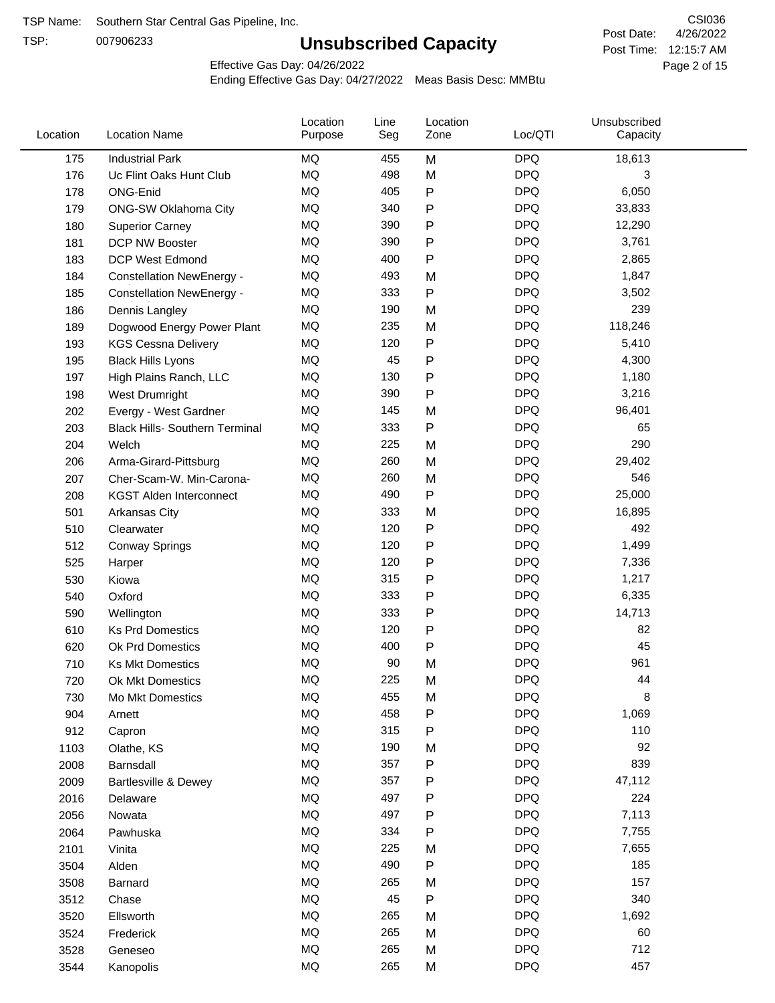TSP:

## **Unsubscribed Capacity**

4/26/2022 Page 2 of 15 Post Time: 12:15:7 AM CSI036 Post Date:

Effective Gas Day: 04/26/2022

| Location | <b>Location Name</b>                  | Location<br>Purpose | Line<br>Seg | Location<br>Zone | Loc/QTI    | Unsubscribed<br>Capacity |  |
|----------|---------------------------------------|---------------------|-------------|------------------|------------|--------------------------|--|
| 175      | <b>Industrial Park</b>                | <b>MQ</b>           | 455         | M                | <b>DPQ</b> | 18,613                   |  |
| 176      | Uc Flint Oaks Hunt Club               | MQ                  | 498         | M                | <b>DPQ</b> | 3                        |  |
| 178      | ONG-Enid                              | <b>MQ</b>           | 405         | ${\sf P}$        | <b>DPQ</b> | 6,050                    |  |
| 179      | <b>ONG-SW Oklahoma City</b>           | <b>MQ</b>           | 340         | ${\sf P}$        | <b>DPQ</b> | 33,833                   |  |
| 180      | <b>Superior Carney</b>                | <b>MQ</b>           | 390         | P                | <b>DPQ</b> | 12,290                   |  |
| 181      | DCP NW Booster                        | <b>MQ</b>           | 390         | P                | <b>DPQ</b> | 3,761                    |  |
| 183      | <b>DCP West Edmond</b>                | MQ                  | 400         | ${\sf P}$        | <b>DPQ</b> | 2,865                    |  |
| 184      | <b>Constellation NewEnergy -</b>      | MQ                  | 493         | M                | <b>DPQ</b> | 1,847                    |  |
| 185      | <b>Constellation NewEnergy -</b>      | MQ                  | 333         | P                | <b>DPQ</b> | 3,502                    |  |
| 186      | Dennis Langley                        | <b>MQ</b>           | 190         | M                | <b>DPQ</b> | 239                      |  |
| 189      | Dogwood Energy Power Plant            | MQ                  | 235         | M                | <b>DPQ</b> | 118,246                  |  |
| 193      | <b>KGS Cessna Delivery</b>            | MQ                  | 120         | ${\sf P}$        | <b>DPQ</b> | 5,410                    |  |
| 195      | <b>Black Hills Lyons</b>              | MQ                  | 45          | P                | <b>DPQ</b> | 4,300                    |  |
| 197      | High Plains Ranch, LLC                | MQ                  | 130         | ${\sf P}$        | <b>DPQ</b> | 1,180                    |  |
| 198      | West Drumright                        | <b>MQ</b>           | 390         | P                | <b>DPQ</b> | 3,216                    |  |
| 202      | Evergy - West Gardner                 | MQ                  | 145         | M                | <b>DPQ</b> | 96,401                   |  |
| 203      | <b>Black Hills- Southern Terminal</b> | MQ                  | 333         | $\mathsf{P}$     | <b>DPQ</b> | 65                       |  |
| 204      | Welch                                 | <b>MQ</b>           | 225         | M                | <b>DPQ</b> | 290                      |  |
| 206      | Arma-Girard-Pittsburg                 | <b>MQ</b>           | 260         | M                | <b>DPQ</b> | 29,402                   |  |
| 207      | Cher-Scam-W. Min-Carona-              | MQ                  | 260         | M                | <b>DPQ</b> | 546                      |  |
| 208      | <b>KGST Alden Interconnect</b>        | MQ                  | 490         | P                | <b>DPQ</b> | 25,000                   |  |
| 501      | Arkansas City                         | MQ                  | 333         | M                | <b>DPQ</b> | 16,895                   |  |
| 510      | Clearwater                            | MQ                  | 120         | P                | <b>DPQ</b> | 492                      |  |
| 512      | <b>Conway Springs</b>                 | <b>MQ</b>           | 120         | P                | <b>DPQ</b> | 1,499                    |  |
| 525      | Harper                                | <b>MQ</b>           | 120         | ${\sf P}$        | <b>DPQ</b> | 7,336                    |  |
| 530      | Kiowa                                 | <b>MQ</b>           | 315         | P                | <b>DPQ</b> | 1,217                    |  |
| 540      | Oxford                                | <b>MQ</b>           | 333         | P                | <b>DPQ</b> | 6,335                    |  |
| 590      | Wellington                            | MQ                  | 333         | P                | <b>DPQ</b> | 14,713                   |  |
| 610      | <b>Ks Prd Domestics</b>               | MQ                  | 120         | P                | <b>DPQ</b> | 82                       |  |
| 620      | Ok Prd Domestics                      | MQ                  | 400         | ${\sf P}$        | <b>DPQ</b> | 45                       |  |
| 710      | <b>Ks Mkt Domestics</b>               | <b>MQ</b>           | 90          | M                | <b>DPQ</b> | 961                      |  |
| 720      | Ok Mkt Domestics                      | <b>MQ</b>           | 225         | M                | <b>DPQ</b> | 44                       |  |
| 730      | Mo Mkt Domestics                      | MQ                  | 455         | M                | <b>DPQ</b> | 8                        |  |
| 904      | Arnett                                | $\sf{MQ}$           | 458         | P                | <b>DPQ</b> | 1,069                    |  |
| 912      | Capron                                | MQ                  | 315         | P                | <b>DPQ</b> | 110                      |  |
| 1103     | Olathe, KS                            | MQ                  | 190         | M                | <b>DPQ</b> | 92                       |  |
| 2008     | Barnsdall                             | MQ                  | 357         | ${\sf P}$        | <b>DPQ</b> | 839                      |  |
| 2009     | <b>Bartlesville &amp; Dewey</b>       | MQ                  | 357         | P                | <b>DPQ</b> | 47,112                   |  |
| 2016     | Delaware                              | MQ                  | 497         | P                | <b>DPQ</b> | 224                      |  |
| 2056     | Nowata                                | $\sf{MQ}$           | 497         | P                | <b>DPQ</b> | 7,113                    |  |
| 2064     | Pawhuska                              | MQ                  | 334         | P                | <b>DPQ</b> | 7,755                    |  |
| 2101     | Vinita                                | MQ                  | 225         | M                | <b>DPQ</b> | 7,655                    |  |
| 3504     | Alden                                 | MQ                  | 490         | P                | <b>DPQ</b> | 185                      |  |
| 3508     | Barnard                               | $\sf{MQ}$           | 265         | M                | <b>DPQ</b> | 157                      |  |
| 3512     | Chase                                 | MQ                  | 45          | $\mathsf{P}$     | <b>DPQ</b> | 340                      |  |
| 3520     | Ellsworth                             | MQ                  | 265         | M                | <b>DPQ</b> | 1,692                    |  |
| 3524     | Frederick                             | MQ                  | 265         | M                | <b>DPQ</b> | 60                       |  |
| 3528     | Geneseo                               | $\sf{MQ}$           | 265         | M                | <b>DPQ</b> | 712                      |  |
| 3544     | Kanopolis                             | $\sf{MQ}$           | 265         | M                | <b>DPQ</b> | 457                      |  |
|          |                                       |                     |             |                  |            |                          |  |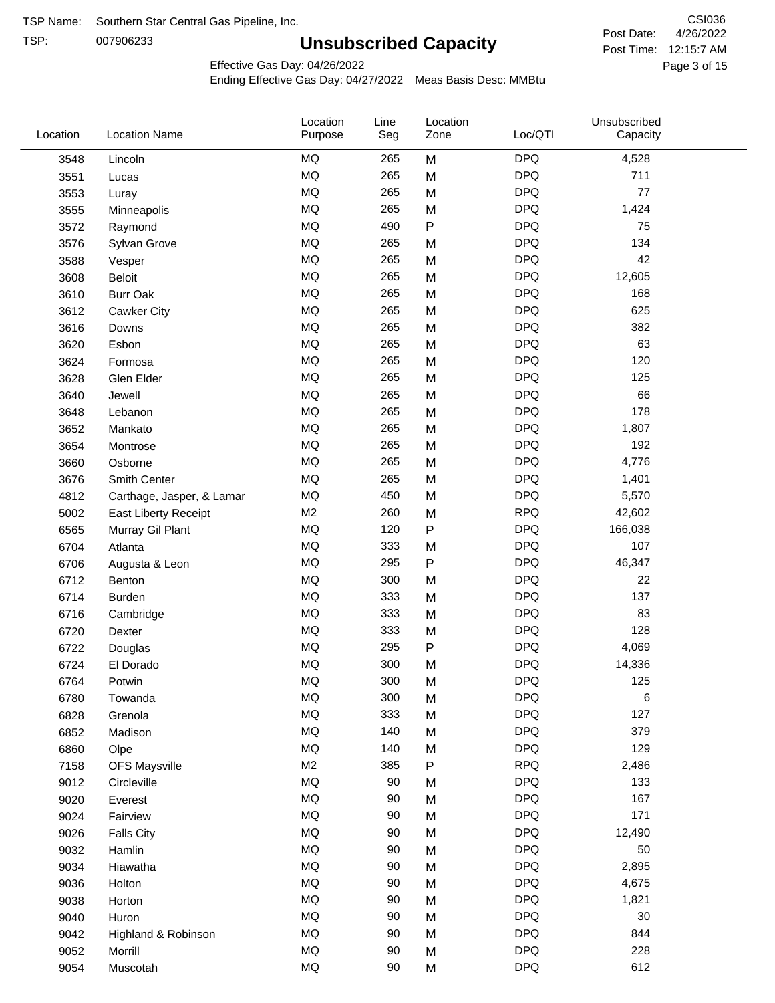TSP: 

# **Unsubscribed Capacity**

4/26/2022 Page 3 of 15 Post Time: 12:15:7 AM CSI036 Post Date:

Effective Gas Day: 04/26/2022

| Location | <b>Location Name</b>      | Location<br>Purpose | Line<br>Seg | Location<br>Zone | Loc/QTI    | Unsubscribed<br>Capacity |  |
|----------|---------------------------|---------------------|-------------|------------------|------------|--------------------------|--|
| 3548     | Lincoln                   | <b>MQ</b>           | 265         | M                | <b>DPQ</b> | 4,528                    |  |
| 3551     | Lucas                     | MQ                  | 265         | M                | <b>DPQ</b> | 711                      |  |
| 3553     | Luray                     | <b>MQ</b>           | 265         | M                | <b>DPQ</b> | 77                       |  |
| 3555     | Minneapolis               | <b>MQ</b>           | 265         | M                | <b>DPQ</b> | 1,424                    |  |
| 3572     | Raymond                   | <b>MQ</b>           | 490         | $\mathsf{P}$     | <b>DPQ</b> | 75                       |  |
| 3576     | Sylvan Grove              | MQ                  | 265         | M                | <b>DPQ</b> | 134                      |  |
| 3588     | Vesper                    | <b>MQ</b>           | 265         | M                | <b>DPQ</b> | 42                       |  |
| 3608     | Beloit                    | MQ                  | 265         | M                | <b>DPQ</b> | 12,605                   |  |
| 3610     | <b>Burr Oak</b>           | MQ                  | 265         | M                | <b>DPQ</b> | 168                      |  |
| 3612     | Cawker City               | <b>MQ</b>           | 265         | M                | <b>DPQ</b> | 625                      |  |
| 3616     | Downs                     | <b>MQ</b>           | 265         | M                | <b>DPQ</b> | 382                      |  |
| 3620     | Esbon                     | <b>MQ</b>           | 265         | M                | <b>DPQ</b> | 63                       |  |
| 3624     | Formosa                   | <b>MQ</b>           | 265         | M                | <b>DPQ</b> | 120                      |  |
| 3628     | Glen Elder                | <b>MQ</b>           | 265         | M                | <b>DPQ</b> | 125                      |  |
| 3640     | Jewell                    | MQ                  | 265         | M                | <b>DPQ</b> | 66                       |  |
| 3648     | Lebanon                   | <b>MQ</b>           | 265         | M                | <b>DPQ</b> | 178                      |  |
| 3652     | Mankato                   | MQ                  | 265         | M                | <b>DPQ</b> | 1,807                    |  |
| 3654     | Montrose                  | MQ                  | 265         | M                | <b>DPQ</b> | 192                      |  |
| 3660     | Osborne                   | <b>MQ</b>           | 265         | M                | <b>DPQ</b> | 4,776                    |  |
| 3676     | Smith Center              | <b>MQ</b>           | 265         | M                | <b>DPQ</b> | 1,401                    |  |
| 4812     | Carthage, Jasper, & Lamar | <b>MQ</b>           | 450         | M                | <b>DPQ</b> | 5,570                    |  |
| 5002     | East Liberty Receipt      | M <sub>2</sub>      | 260         | M                | <b>RPQ</b> | 42,602                   |  |
| 6565     | Murray Gil Plant          | <b>MQ</b>           | 120         | P                | <b>DPQ</b> | 166,038                  |  |
| 6704     | Atlanta                   | MQ                  | 333         | M                | <b>DPQ</b> | 107                      |  |
| 6706     | Augusta & Leon            | MQ                  | 295         | ${\sf P}$        | <b>DPQ</b> | 46,347                   |  |
| 6712     | Benton                    | MQ                  | 300         | M                | <b>DPQ</b> | 22                       |  |
| 6714     | Burden                    | <b>MQ</b>           | 333         | M                | <b>DPQ</b> | 137                      |  |
| 6716     | Cambridge                 | MQ                  | 333         | M                | <b>DPQ</b> | 83                       |  |
| 6720     | Dexter                    | <b>MQ</b>           | 333         | M                | <b>DPQ</b> | 128                      |  |
| 6722     | Douglas                   | MQ                  | 295         | P                | <b>DPQ</b> | 4,069                    |  |
| 6724     | El Dorado                 | <b>MQ</b>           | 300         | M                | <b>DPQ</b> | 14,336                   |  |
| 6764     | Potwin                    | MQ                  | 300         | M                | <b>DPQ</b> | 125                      |  |
| 6780     | Towanda                   | MQ                  | 300         | M                | <b>DPQ</b> | 6                        |  |
| 6828     | Grenola                   | $\sf{MQ}$           | 333         | M                | <b>DPQ</b> | 127                      |  |
| 6852     | Madison                   | MQ                  | 140         | M                | <b>DPQ</b> | 379                      |  |
| 6860     | Olpe                      | MQ                  | 140         | M                | <b>DPQ</b> | 129                      |  |
| 7158     | <b>OFS Maysville</b>      | M <sub>2</sub>      | 385         | P                | <b>RPQ</b> | 2,486                    |  |
| 9012     | Circleville               | MQ                  | 90          | M                | <b>DPQ</b> | 133                      |  |
| 9020     | Everest                   | MQ                  | 90          | M                | <b>DPQ</b> | 167                      |  |
| 9024     | Fairview                  | $\sf{MQ}$           | 90          | M                | <b>DPQ</b> | 171                      |  |
| 9026     | <b>Falls City</b>         | MQ                  | 90          | M                | <b>DPQ</b> | 12,490                   |  |
| 9032     | Hamlin                    | MQ                  | 90          | M                | <b>DPQ</b> | 50                       |  |
| 9034     | Hiawatha                  | MQ                  | 90          | M                | <b>DPQ</b> | 2,895                    |  |
| 9036     | Holton                    | <b>MQ</b>           | 90          | M                | <b>DPQ</b> | 4,675                    |  |
| 9038     | Horton                    | $\sf{MQ}$           | 90          | M                | <b>DPQ</b> | 1,821                    |  |
| 9040     | Huron                     | MQ                  | 90          | M                | <b>DPQ</b> | 30                       |  |
| 9042     | Highland & Robinson       | MQ                  | 90          | M                | <b>DPQ</b> | 844                      |  |
| 9052     | Morrill                   | $\sf{MQ}$           | 90          | M                | <b>DPQ</b> | 228                      |  |
| 9054     | Muscotah                  | $\sf{MQ}$           | 90          | M                | <b>DPQ</b> | 612                      |  |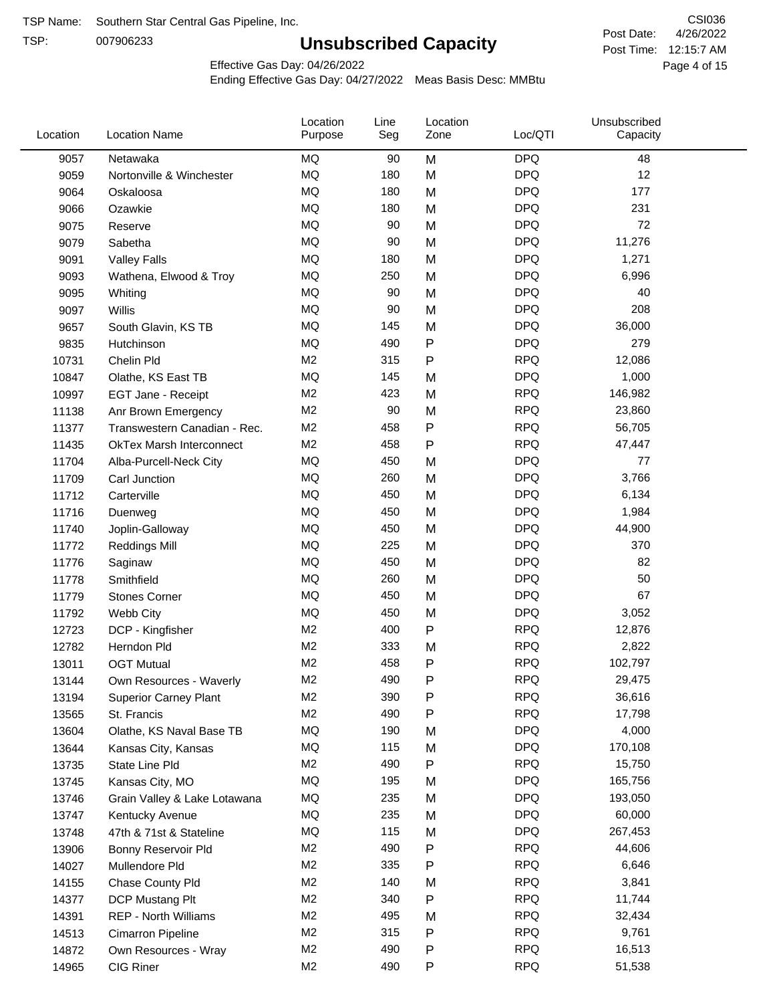TSP:

## **Unsubscribed Capacity**

4/26/2022 Page 4 of 15 Post Time: 12:15:7 AM CSI036 Post Date:

Effective Gas Day: 04/26/2022

| Location | <b>Location Name</b>            | Location<br>Purpose | Line<br>Seg | Location<br>Zone | Loc/QTI    | Unsubscribed<br>Capacity |  |
|----------|---------------------------------|---------------------|-------------|------------------|------------|--------------------------|--|
| 9057     | Netawaka                        | <b>MQ</b>           | 90          | M                | <b>DPQ</b> | 48                       |  |
| 9059     | Nortonville & Winchester        | MQ                  | 180         | M                | <b>DPQ</b> | 12                       |  |
| 9064     | Oskaloosa                       | MQ                  | 180         | M                | <b>DPQ</b> | 177                      |  |
| 9066     | Ozawkie                         | <b>MQ</b>           | 180         | M                | <b>DPQ</b> | 231                      |  |
| 9075     | Reserve                         | <b>MQ</b>           | 90          | M                | <b>DPQ</b> | 72                       |  |
| 9079     | Sabetha                         | MQ                  | 90          | M                | <b>DPQ</b> | 11,276                   |  |
| 9091     | <b>Valley Falls</b>             | MQ                  | 180         | M                | <b>DPQ</b> | 1,271                    |  |
| 9093     | Wathena, Elwood & Troy          | MQ                  | 250         | M                | <b>DPQ</b> | 6,996                    |  |
| 9095     | Whiting                         | MQ                  | 90          | M                | <b>DPQ</b> | 40                       |  |
| 9097     | Willis                          | <b>MQ</b>           | 90          | M                | <b>DPQ</b> | 208                      |  |
| 9657     | South Glavin, KS TB             | MQ                  | 145         | M                | <b>DPQ</b> | 36,000                   |  |
| 9835     | Hutchinson                      | MQ                  | 490         | P                | <b>DPQ</b> | 279                      |  |
| 10731    | Chelin Pld                      | M <sub>2</sub>      | 315         | P                | <b>RPQ</b> | 12,086                   |  |
| 10847    | Olathe, KS East TB              | <b>MQ</b>           | 145         | M                | <b>DPQ</b> | 1,000                    |  |
| 10997    | EGT Jane - Receipt              | M <sub>2</sub>      | 423         | M                | <b>RPQ</b> | 146,982                  |  |
| 11138    | Anr Brown Emergency             | M <sub>2</sub>      | 90          | M                | <b>RPQ</b> | 23,860                   |  |
| 11377    | Transwestern Canadian - Rec.    | M <sub>2</sub>      | 458         | P                | <b>RPQ</b> | 56,705                   |  |
| 11435    | <b>OkTex Marsh Interconnect</b> | M <sub>2</sub>      | 458         | P                | <b>RPQ</b> | 47,447                   |  |
| 11704    | Alba-Purcell-Neck City          | MQ                  | 450         | M                | <b>DPQ</b> | 77                       |  |
| 11709    | Carl Junction                   | <b>MQ</b>           | 260         | M                | <b>DPQ</b> | 3,766                    |  |
| 11712    | Carterville                     | MQ                  | 450         | M                | <b>DPQ</b> | 6,134                    |  |
| 11716    | Duenweg                         | MQ                  | 450         | M                | <b>DPQ</b> | 1,984                    |  |
| 11740    | Joplin-Galloway                 | <b>MQ</b>           | 450         | M                | <b>DPQ</b> | 44,900                   |  |
| 11772    | <b>Reddings Mill</b>            | <b>MQ</b>           | 225         | M                | <b>DPQ</b> | 370                      |  |
| 11776    | Saginaw                         | <b>MQ</b>           | 450         | M                | <b>DPQ</b> | 82                       |  |
| 11778    | Smithfield                      | MQ                  | 260         | M                | <b>DPQ</b> | 50                       |  |
| 11779    | <b>Stones Corner</b>            | <b>MQ</b>           | 450         | M                | <b>DPQ</b> | 67                       |  |
| 11792    | Webb City                       | <b>MQ</b>           | 450         | M                | <b>DPQ</b> | 3,052                    |  |
| 12723    | DCP - Kingfisher                | M <sub>2</sub>      | 400         | P                | <b>RPQ</b> | 12,876                   |  |
| 12782    | Herndon Pld                     | M <sub>2</sub>      | 333         | M                | <b>RPQ</b> | 2,822                    |  |
| 13011    | <b>OGT Mutual</b>               | M <sub>2</sub>      | 458         | P                | <b>RPQ</b> | 102,797                  |  |
| 13144    | Own Resources - Waverly         | M <sub>2</sub>      | 490         | P                | <b>RPQ</b> | 29,475                   |  |
| 13194    | <b>Superior Carney Plant</b>    | M <sub>2</sub>      | 390         | P                | <b>RPQ</b> | 36,616                   |  |
| 13565    | St. Francis                     | M <sub>2</sub>      | 490         | Ρ                | <b>RPQ</b> | 17,798                   |  |
| 13604    | Olathe, KS Naval Base TB        | MQ                  | 190         | M                | <b>DPQ</b> | 4,000                    |  |
| 13644    | Kansas City, Kansas             | MQ                  | 115         | M                | <b>DPQ</b> | 170,108                  |  |
| 13735    | State Line Pld                  | M <sub>2</sub>      | 490         | Ρ                | <b>RPQ</b> | 15,750                   |  |
| 13745    | Kansas City, MO                 | MQ                  | 195         | M                | <b>DPQ</b> | 165,756                  |  |
| 13746    | Grain Valley & Lake Lotawana    | MQ                  | 235         | M                | <b>DPQ</b> | 193,050                  |  |
| 13747    | Kentucky Avenue                 | MQ                  | 235         | M                | <b>DPQ</b> | 60,000                   |  |
| 13748    | 47th & 71st & Stateline         | MQ                  | 115         | M                | <b>DPQ</b> | 267,453                  |  |
| 13906    | Bonny Reservoir Pld             | M <sub>2</sub>      | 490         | Ρ                | <b>RPQ</b> | 44,606                   |  |
| 14027    | Mullendore Pld                  | M <sub>2</sub>      | 335         | Ρ                | <b>RPQ</b> | 6,646                    |  |
| 14155    | Chase County Pld                | M <sub>2</sub>      | 140         | M                | <b>RPQ</b> | 3,841                    |  |
| 14377    | DCP Mustang Plt                 | M <sub>2</sub>      | 340         | Ρ                | <b>RPQ</b> | 11,744                   |  |
| 14391    | <b>REP - North Williams</b>     | M <sub>2</sub>      | 495         | M                | <b>RPQ</b> | 32,434                   |  |
| 14513    | Cimarron Pipeline               | M <sub>2</sub>      | 315         | P                | <b>RPQ</b> | 9,761                    |  |
| 14872    | Own Resources - Wray            | M <sub>2</sub>      | 490         | P                | <b>RPQ</b> | 16,513                   |  |
| 14965    | CIG Riner                       | M <sub>2</sub>      | 490         | P                | <b>RPQ</b> | 51,538                   |  |
|          |                                 |                     |             |                  |            |                          |  |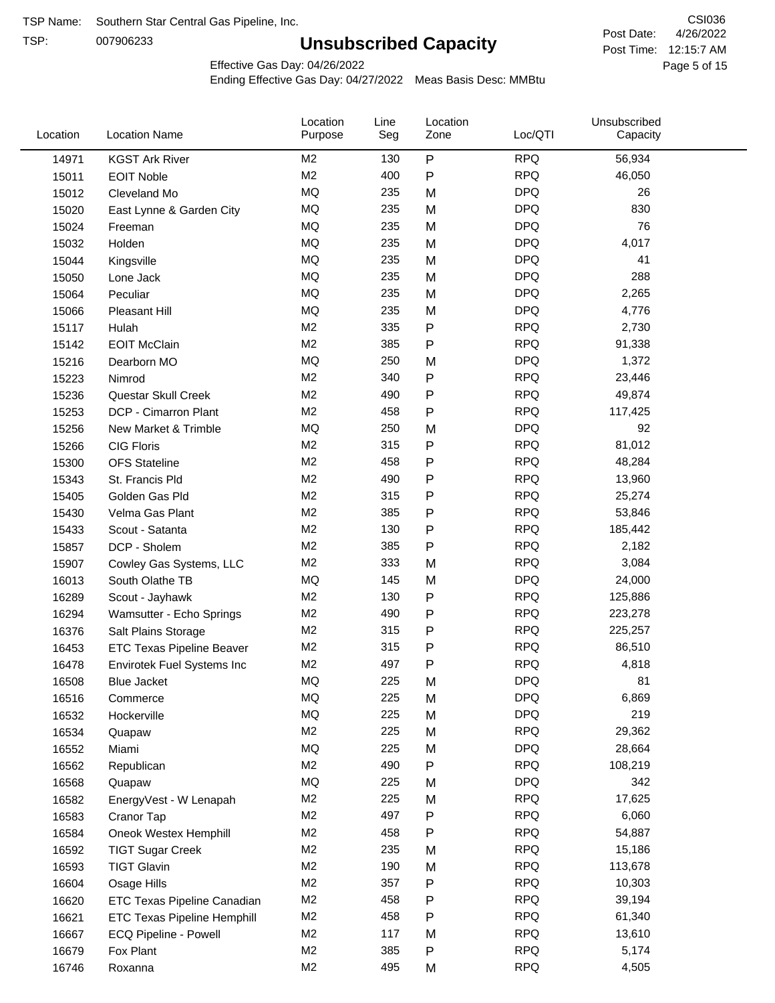TSP:

## **Unsubscribed Capacity**

Page 5 of 15 Post Time: 12:15:7 AM CSI036 Post Date:

Effective Gas Day: 04/26/2022

| Location | <b>Location Name</b>             | Location<br>Purpose | Line<br>Seg | Location<br>Zone | Loc/QTI    | Unsubscribed<br>Capacity |  |
|----------|----------------------------------|---------------------|-------------|------------------|------------|--------------------------|--|
| 14971    | <b>KGST Ark River</b>            | M <sub>2</sub>      | 130         | P                | <b>RPQ</b> | 56,934                   |  |
| 15011    | <b>EOIT Noble</b>                | M <sub>2</sub>      | 400         | P                | <b>RPQ</b> | 46,050                   |  |
| 15012    | Cleveland Mo                     | MQ                  | 235         | M                | <b>DPQ</b> | 26                       |  |
| 15020    | East Lynne & Garden City         | MQ                  | 235         | M                | <b>DPQ</b> | 830                      |  |
| 15024    | Freeman                          | MQ                  | 235         | M                | <b>DPQ</b> | 76                       |  |
| 15032    | Holden                           | MQ                  | 235         | M                | <b>DPQ</b> | 4,017                    |  |
| 15044    | Kingsville                       | MQ                  | 235         | M                | <b>DPQ</b> | 41                       |  |
| 15050    | Lone Jack                        | MQ                  | 235         | M                | <b>DPQ</b> | 288                      |  |
| 15064    | Peculiar                         | <b>MQ</b>           | 235         | M                | <b>DPQ</b> | 2,265                    |  |
| 15066    | <b>Pleasant Hill</b>             | <b>MQ</b>           | 235         | M                | <b>DPQ</b> | 4,776                    |  |
| 15117    | Hulah                            | M <sub>2</sub>      | 335         | P                | <b>RPQ</b> | 2,730                    |  |
| 15142    | <b>EOIT McClain</b>              | M <sub>2</sub>      | 385         | P                | <b>RPQ</b> | 91,338                   |  |
| 15216    | Dearborn MO                      | <b>MQ</b>           | 250         | M                | <b>DPQ</b> | 1,372                    |  |
| 15223    | Nimrod                           | M <sub>2</sub>      | 340         | P                | <b>RPQ</b> | 23,446                   |  |
| 15236    | Questar Skull Creek              | M <sub>2</sub>      | 490         | P                | <b>RPQ</b> | 49,874                   |  |
| 15253    | DCP - Cimarron Plant             | M <sub>2</sub>      | 458         | P                | <b>RPQ</b> | 117,425                  |  |
| 15256    | New Market & Trimble             | <b>MQ</b>           | 250         | M                | <b>DPQ</b> | 92                       |  |
| 15266    | <b>CIG Floris</b>                | M <sub>2</sub>      | 315         | Ρ                | <b>RPQ</b> | 81,012                   |  |
| 15300    | <b>OFS Stateline</b>             | M <sub>2</sub>      | 458         | P                | <b>RPQ</b> | 48,284                   |  |
| 15343    | St. Francis Pld                  | M <sub>2</sub>      | 490         | P                | <b>RPQ</b> | 13,960                   |  |
| 15405    | Golden Gas Pld                   | M <sub>2</sub>      | 315         | P                | <b>RPQ</b> | 25,274                   |  |
| 15430    | Velma Gas Plant                  | M <sub>2</sub>      | 385         | P                | <b>RPQ</b> | 53,846                   |  |
| 15433    | Scout - Satanta                  | M <sub>2</sub>      | 130         | P                | <b>RPQ</b> | 185,442                  |  |
| 15857    | DCP - Sholem                     | M <sub>2</sub>      | 385         | P                | <b>RPQ</b> | 2,182                    |  |
| 15907    | Cowley Gas Systems, LLC          | M <sub>2</sub>      | 333         | M                | <b>RPQ</b> | 3,084                    |  |
| 16013    | South Olathe TB                  | MQ                  | 145         | M                | <b>DPQ</b> | 24,000                   |  |
| 16289    | Scout - Jayhawk                  | M <sub>2</sub>      | 130         | P                | <b>RPQ</b> | 125,886                  |  |
| 16294    | Wamsutter - Echo Springs         | M <sub>2</sub>      | 490         | P                | <b>RPQ</b> | 223,278                  |  |
| 16376    | Salt Plains Storage              | M <sub>2</sub>      | 315         | P                | <b>RPQ</b> | 225,257                  |  |
| 16453    | <b>ETC Texas Pipeline Beaver</b> | M <sub>2</sub>      | 315         | P                | <b>RPQ</b> | 86,510                   |  |
| 16478    | Envirotek Fuel Systems Inc       | M <sub>2</sub>      | 497         | P                | <b>RPQ</b> | 4,818                    |  |
| 16508    | Blue Jacket                      | MQ                  | 225         | M                | <b>DPQ</b> | 81                       |  |
| 16516    | Commerce                         | MQ                  | 225         | M                | <b>DPQ</b> | 6,869                    |  |
| 16532    | Hockerville                      | $\sf{MQ}$           | 225         | M                | <b>DPQ</b> | 219                      |  |
| 16534    | Quapaw                           | M <sub>2</sub>      | 225         | M                | <b>RPQ</b> | 29,362                   |  |
| 16552    | Miami                            | MQ                  | 225         | M                | <b>DPQ</b> | 28,664                   |  |
| 16562    | Republican                       | M <sub>2</sub>      | 490         | P                | <b>RPQ</b> | 108,219                  |  |
| 16568    | Quapaw                           | <b>MQ</b>           | 225         | M                | <b>DPQ</b> | 342                      |  |
| 16582    | EnergyVest - W Lenapah           | M <sub>2</sub>      | 225         | M                | <b>RPQ</b> | 17,625                   |  |
| 16583    | Cranor Tap                       | M <sub>2</sub>      | 497         | P                | <b>RPQ</b> | 6,060                    |  |
| 16584    | Oneok Westex Hemphill            | M <sub>2</sub>      | 458         | Ρ                | <b>RPQ</b> | 54,887                   |  |
| 16592    | <b>TIGT Sugar Creek</b>          | M <sub>2</sub>      | 235         | M                | <b>RPQ</b> | 15,186                   |  |
| 16593    | <b>TIGT Glavin</b>               | M <sub>2</sub>      | 190         | M                | <b>RPQ</b> | 113,678                  |  |
| 16604    | Osage Hills                      | M <sub>2</sub>      | 357         | Ρ                | <b>RPQ</b> | 10,303                   |  |
| 16620    | ETC Texas Pipeline Canadian      | M <sub>2</sub>      | 458         | Ρ                | <b>RPQ</b> | 39,194                   |  |
| 16621    | ETC Texas Pipeline Hemphill      | M <sub>2</sub>      | 458         | Ρ                | <b>RPQ</b> | 61,340                   |  |
| 16667    | ECQ Pipeline - Powell            | M <sub>2</sub>      | 117         | M                | <b>RPQ</b> | 13,610                   |  |
| 16679    | Fox Plant                        | M <sub>2</sub>      | 385         | Ρ                | <b>RPQ</b> | 5,174                    |  |
| 16746    | Roxanna                          | M <sub>2</sub>      | 495         | M                | <b>RPQ</b> | 4,505                    |  |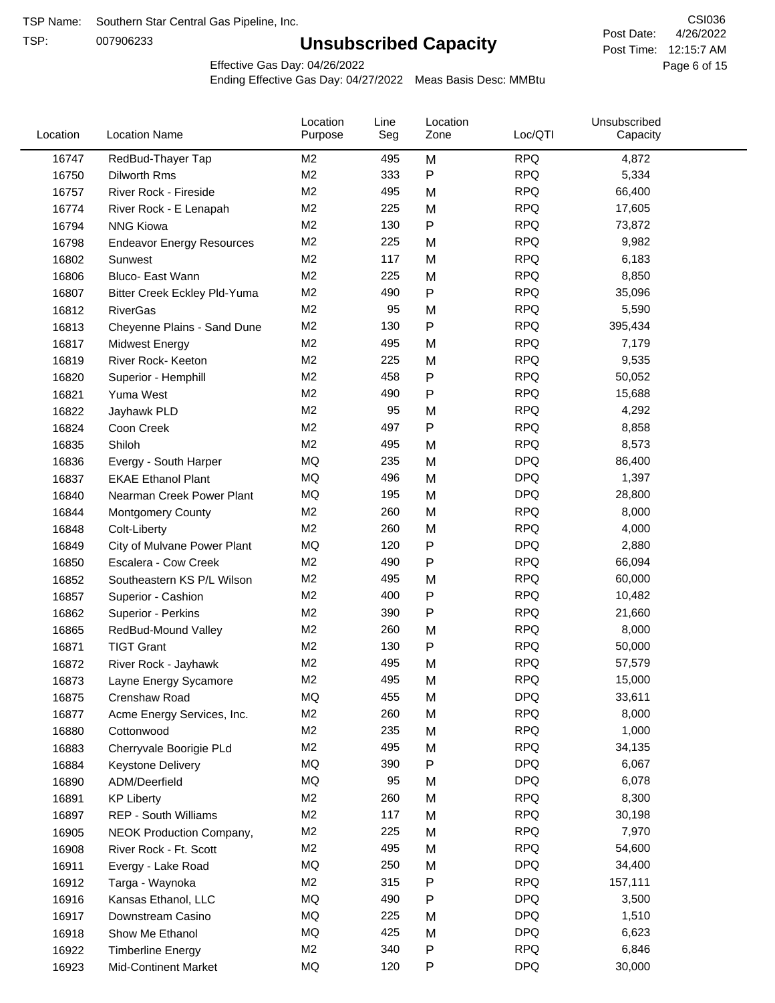TSP:

## **Unsubscribed Capacity**

4/26/2022 Page 6 of 15 Post Time: 12:15:7 AM CSI036 Post Date:

Effective Gas Day: 04/26/2022

| Location | <b>Location Name</b>             | Location<br>Purpose | Line<br>Seg | Location<br>Zone | Loc/QTI    | Unsubscribed<br>Capacity |  |
|----------|----------------------------------|---------------------|-------------|------------------|------------|--------------------------|--|
| 16747    | RedBud-Thayer Tap                | M <sub>2</sub>      | 495         | M                | <b>RPQ</b> | 4,872                    |  |
| 16750    | Dilworth Rms                     | M <sub>2</sub>      | 333         | P                | <b>RPQ</b> | 5,334                    |  |
| 16757    | River Rock - Fireside            | M <sub>2</sub>      | 495         | M                | <b>RPQ</b> | 66,400                   |  |
| 16774    | River Rock - E Lenapah           | M <sub>2</sub>      | 225         | M                | <b>RPQ</b> | 17,605                   |  |
| 16794    | <b>NNG Kiowa</b>                 | M <sub>2</sub>      | 130         | P                | <b>RPQ</b> | 73,872                   |  |
| 16798    | <b>Endeavor Energy Resources</b> | M <sub>2</sub>      | 225         | M                | <b>RPQ</b> | 9,982                    |  |
| 16802    | Sunwest                          | M <sub>2</sub>      | 117         | M                | <b>RPQ</b> | 6,183                    |  |
| 16806    | Bluco- East Wann                 | M <sub>2</sub>      | 225         | M                | <b>RPQ</b> | 8,850                    |  |
| 16807    | Bitter Creek Eckley Pld-Yuma     | M <sub>2</sub>      | 490         | P                | <b>RPQ</b> | 35,096                   |  |
| 16812    | <b>RiverGas</b>                  | M <sub>2</sub>      | 95          | M                | <b>RPQ</b> | 5,590                    |  |
| 16813    | Cheyenne Plains - Sand Dune      | M <sub>2</sub>      | 130         | P                | <b>RPQ</b> | 395,434                  |  |
| 16817    | <b>Midwest Energy</b>            | M <sub>2</sub>      | 495         | M                | <b>RPQ</b> | 7,179                    |  |
| 16819    | River Rock- Keeton               | M <sub>2</sub>      | 225         | M                | <b>RPQ</b> | 9,535                    |  |
| 16820    | Superior - Hemphill              | M <sub>2</sub>      | 458         | P                | <b>RPQ</b> | 50,052                   |  |
| 16821    | Yuma West                        | M <sub>2</sub>      | 490         | P                | <b>RPQ</b> | 15,688                   |  |
| 16822    | Jayhawk PLD                      | M <sub>2</sub>      | 95          | M                | <b>RPQ</b> | 4,292                    |  |
| 16824    | Coon Creek                       | M <sub>2</sub>      | 497         | P                | <b>RPQ</b> | 8,858                    |  |
| 16835    | Shiloh                           | M <sub>2</sub>      | 495         | M                | <b>RPQ</b> | 8,573                    |  |
| 16836    | Evergy - South Harper            | MQ                  | 235         | M                | <b>DPQ</b> | 86,400                   |  |
| 16837    | <b>EKAE Ethanol Plant</b>        | MQ                  | 496         | M                | <b>DPQ</b> | 1,397                    |  |
| 16840    | Nearman Creek Power Plant        | MQ                  | 195         | M                | <b>DPQ</b> | 28,800                   |  |
| 16844    | <b>Montgomery County</b>         | M <sub>2</sub>      | 260         | M                | <b>RPQ</b> | 8,000                    |  |
| 16848    | Colt-Liberty                     | M <sub>2</sub>      | 260         | M                | <b>RPQ</b> | 4,000                    |  |
| 16849    | City of Mulvane Power Plant      | MQ                  | 120         | P                | <b>DPQ</b> | 2,880                    |  |
| 16850    | Escalera - Cow Creek             | M <sub>2</sub>      | 490         | Ρ                | <b>RPQ</b> | 66,094                   |  |
| 16852    | Southeastern KS P/L Wilson       | M <sub>2</sub>      | 495         | M                | <b>RPQ</b> | 60,000                   |  |
| 16857    | Superior - Cashion               | M <sub>2</sub>      | 400         | Ρ                | <b>RPQ</b> | 10,482                   |  |
| 16862    | Superior - Perkins               | M <sub>2</sub>      | 390         | Ρ                | <b>RPQ</b> | 21,660                   |  |
| 16865    | RedBud-Mound Valley              | M <sub>2</sub>      | 260         | M                | <b>RPQ</b> | 8,000                    |  |
| 16871    | <b>TIGT Grant</b>                | M <sub>2</sub>      | 130         | P                | <b>RPQ</b> | 50,000                   |  |
| 16872    | River Rock - Jayhawk             | M <sub>2</sub>      | 495         | M                | <b>RPQ</b> | 57,579                   |  |
| 16873    | Layne Energy Sycamore            | M <sub>2</sub>      | 495         | M                | <b>RPQ</b> | 15,000                   |  |
| 16875    | Crenshaw Road                    | MQ                  | 455         | M                | <b>DPQ</b> | 33,611                   |  |
| 16877    | Acme Energy Services, Inc.       | M <sub>2</sub>      | 260         | M                | <b>RPQ</b> | 8,000                    |  |
| 16880    | Cottonwood                       | M <sub>2</sub>      | 235         | M                | <b>RPQ</b> | 1,000                    |  |
| 16883    | Cherryvale Boorigie PLd          | M <sub>2</sub>      | 495         | M                | <b>RPQ</b> | 34,135                   |  |
| 16884    | <b>Keystone Delivery</b>         | MQ                  | 390         | P                | <b>DPQ</b> | 6,067                    |  |
| 16890    | ADM/Deerfield                    | MQ                  | 95          | M                | <b>DPQ</b> | 6,078                    |  |
| 16891    | <b>KP Liberty</b>                | M <sub>2</sub>      | 260         | M                | <b>RPQ</b> | 8,300                    |  |
| 16897    | REP - South Williams             | M <sub>2</sub>      | 117         | M                | <b>RPQ</b> | 30,198                   |  |
| 16905    | NEOK Production Company,         | M <sub>2</sub>      | 225         | M                | <b>RPQ</b> | 7,970                    |  |
| 16908    | River Rock - Ft. Scott           | M <sub>2</sub>      | 495         | M                | <b>RPQ</b> | 54,600                   |  |
| 16911    | Evergy - Lake Road               | MQ                  | 250         | M                | <b>DPQ</b> | 34,400                   |  |
| 16912    | Targa - Waynoka                  | M <sub>2</sub>      | 315         | P                | <b>RPQ</b> | 157,111                  |  |
| 16916    | Kansas Ethanol, LLC              | MQ                  | 490         | P                | <b>DPQ</b> | 3,500                    |  |
| 16917    | Downstream Casino                | MQ                  | 225         | M                | <b>DPQ</b> | 1,510                    |  |
| 16918    | Show Me Ethanol                  | MQ                  | 425         | M                | <b>DPQ</b> | 6,623                    |  |
| 16922    | <b>Timberline Energy</b>         | M <sub>2</sub>      | 340         | Ρ                | <b>RPQ</b> | 6,846                    |  |
| 16923    | <b>Mid-Continent Market</b>      | MQ                  | 120         | P                | <b>DPQ</b> | 30,000                   |  |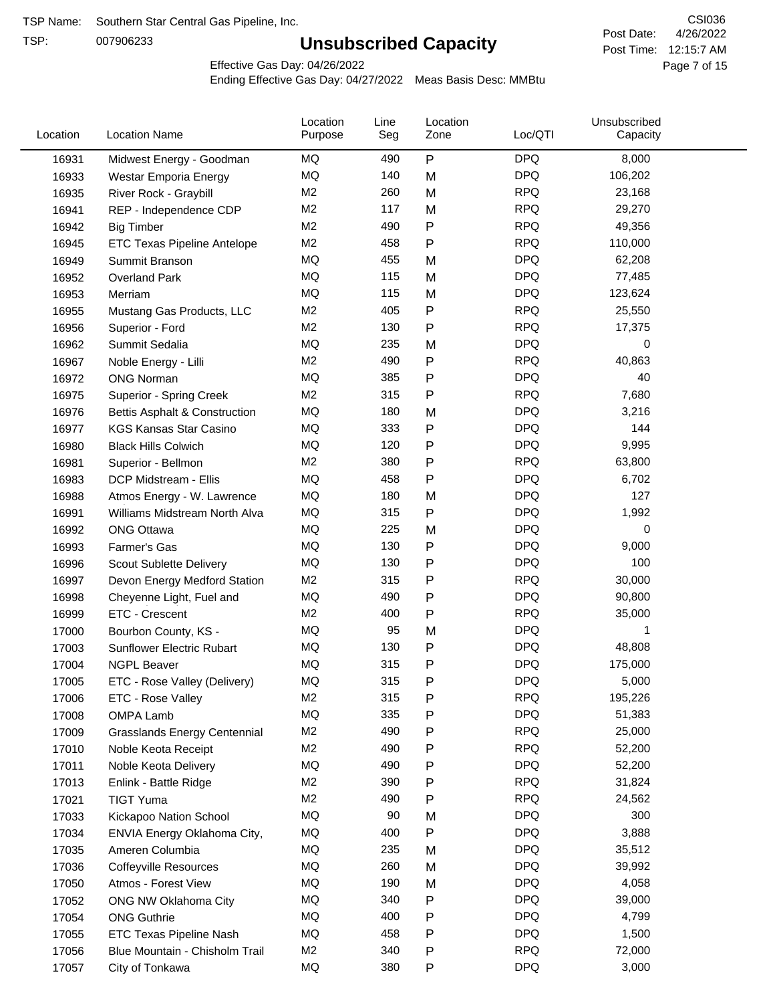TSP:

## **Unsubscribed Capacity**

4/26/2022 Page 7 of 15 Post Time: 12:15:7 AM CSI036 Post Date:

Effective Gas Day: 04/26/2022

| Location | <b>Location Name</b>                | Location<br>Purpose | Line<br>Seg | Location<br>Zone | Loc/QTI    | Unsubscribed<br>Capacity |  |
|----------|-------------------------------------|---------------------|-------------|------------------|------------|--------------------------|--|
| 16931    | Midwest Energy - Goodman            | ΜQ                  | 490         | P                | <b>DPQ</b> | 8,000                    |  |
| 16933    | Westar Emporia Energy               | <b>MQ</b>           | 140         | M                | <b>DPQ</b> | 106,202                  |  |
| 16935    | River Rock - Graybill               | M <sub>2</sub>      | 260         | M                | <b>RPQ</b> | 23,168                   |  |
| 16941    | REP - Independence CDP              | M <sub>2</sub>      | 117         | M                | <b>RPQ</b> | 29,270                   |  |
| 16942    | <b>Big Timber</b>                   | M <sub>2</sub>      | 490         | P                | <b>RPQ</b> | 49,356                   |  |
| 16945    | ETC Texas Pipeline Antelope         | M <sub>2</sub>      | 458         | $\mathsf{P}$     | <b>RPQ</b> | 110,000                  |  |
| 16949    | Summit Branson                      | MQ                  | 455         | M                | <b>DPQ</b> | 62,208                   |  |
| 16952    | <b>Overland Park</b>                | MQ                  | 115         | M                | <b>DPQ</b> | 77,485                   |  |
| 16953    | Merriam                             | MQ                  | 115         | M                | <b>DPQ</b> | 123,624                  |  |
| 16955    | Mustang Gas Products, LLC           | M <sub>2</sub>      | 405         | $\mathsf{P}$     | <b>RPQ</b> | 25,550                   |  |
| 16956    | Superior - Ford                     | M <sub>2</sub>      | 130         | $\mathsf{P}$     | <b>RPQ</b> | 17,375                   |  |
| 16962    | Summit Sedalia                      | <b>MQ</b>           | 235         | M                | <b>DPQ</b> | 0                        |  |
| 16967    | Noble Energy - Lilli                | M <sub>2</sub>      | 490         | P                | <b>RPQ</b> | 40,863                   |  |
| 16972    | <b>ONG Norman</b>                   | MQ                  | 385         | $\mathsf{P}$     | <b>DPQ</b> | 40                       |  |
| 16975    | Superior - Spring Creek             | M <sub>2</sub>      | 315         | $\mathsf{P}$     | <b>RPQ</b> | 7,680                    |  |
| 16976    | Bettis Asphalt & Construction       | MQ                  | 180         | M                | <b>DPQ</b> | 3,216                    |  |
| 16977    | <b>KGS Kansas Star Casino</b>       | MQ                  | 333         | P                | <b>DPQ</b> | 144                      |  |
| 16980    | <b>Black Hills Colwich</b>          | MQ                  | 120         | P                | <b>DPQ</b> | 9,995                    |  |
| 16981    | Superior - Bellmon                  | M <sub>2</sub>      | 380         | $\mathsf{P}$     | <b>RPQ</b> | 63,800                   |  |
| 16983    | DCP Midstream - Ellis               | MQ                  | 458         | $\mathsf{P}$     | <b>DPQ</b> | 6,702                    |  |
| 16988    | Atmos Energy - W. Lawrence          | MQ                  | 180         | M                | <b>DPQ</b> | 127                      |  |
| 16991    | Williams Midstream North Alva       | MQ                  | 315         | $\mathsf{P}$     | <b>DPQ</b> | 1,992                    |  |
| 16992    | <b>ONG Ottawa</b>                   | MQ                  | 225         | M                | <b>DPQ</b> | 0                        |  |
| 16993    | Farmer's Gas                        | MQ                  | 130         | $\mathsf{P}$     | <b>DPQ</b> | 9,000                    |  |
|          |                                     | MQ                  | 130         | P                | <b>DPQ</b> | 100                      |  |
| 16996    | Scout Sublette Delivery             | M <sub>2</sub>      | 315         |                  | <b>RPQ</b> | 30,000                   |  |
| 16997    | Devon Energy Medford Station        | MQ                  | 490         | P                | <b>DPQ</b> |                          |  |
| 16998    | Cheyenne Light, Fuel and            | M <sub>2</sub>      |             | P                | <b>RPQ</b> | 90,800                   |  |
| 16999    | ETC - Crescent                      |                     | 400         | $\mathsf{P}$     |            | 35,000                   |  |
| 17000    | Bourbon County, KS -                | MQ                  | 95          | M                | <b>DPQ</b> | 1                        |  |
| 17003    | Sunflower Electric Rubart           | MQ                  | 130         | $\mathsf{P}$     | <b>DPQ</b> | 48,808                   |  |
| 17004    | <b>NGPL Beaver</b>                  | MQ                  | 315         | P                | <b>DPQ</b> | 175,000                  |  |
| 17005    | ETC - Rose Valley (Delivery)        | MQ                  | 315         | P                | <b>DPQ</b> | 5,000                    |  |
| 17006    | ETC - Rose Valley                   | M <sub>2</sub>      | 315         | P                | <b>RPQ</b> | 195,226                  |  |
| 17008    | OMPA Lamb                           | MQ                  | 335         | ${\sf P}$        | <b>DPQ</b> | 51,383                   |  |
| 17009    | <b>Grasslands Energy Centennial</b> | M <sub>2</sub>      | 490         | P                | <b>RPQ</b> | 25,000                   |  |
| 17010    | Noble Keota Receipt                 | M <sub>2</sub>      | 490         | P                | <b>RPQ</b> | 52,200                   |  |
| 17011    | Noble Keota Delivery                | MQ                  | 490         | P                | <b>DPQ</b> | 52,200                   |  |
| 17013    | Enlink - Battle Ridge               | M <sub>2</sub>      | 390         | P                | <b>RPQ</b> | 31,824                   |  |
| 17021    | <b>TIGT Yuma</b>                    | M <sub>2</sub>      | 490         | P                | <b>RPQ</b> | 24,562                   |  |
| 17033    | Kickapoo Nation School              | MQ                  | 90          | M                | <b>DPQ</b> | 300                      |  |
| 17034    | ENVIA Energy Oklahoma City,         | MQ                  | 400         | P                | <b>DPQ</b> | 3,888                    |  |
| 17035    | Ameren Columbia                     | MQ                  | 235         | M                | <b>DPQ</b> | 35,512                   |  |
| 17036    | <b>Coffeyville Resources</b>        | MQ                  | 260         | M                | <b>DPQ</b> | 39,992                   |  |
| 17050    | Atmos - Forest View                 | MQ                  | 190         | M                | <b>DPQ</b> | 4,058                    |  |
| 17052    | ONG NW Oklahoma City                | MQ                  | 340         | P                | <b>DPQ</b> | 39,000                   |  |
| 17054    | <b>ONG Guthrie</b>                  | MQ                  | 400         | P                | <b>DPQ</b> | 4,799                    |  |
| 17055    | ETC Texas Pipeline Nash             | MQ                  | 458         | P                | <b>DPQ</b> | 1,500                    |  |
| 17056    | Blue Mountain - Chisholm Trail      | M <sub>2</sub>      | 340         | P                | <b>RPQ</b> | 72,000                   |  |
| 17057    | City of Tonkawa                     | MQ                  | 380         | P                | <b>DPQ</b> | 3,000                    |  |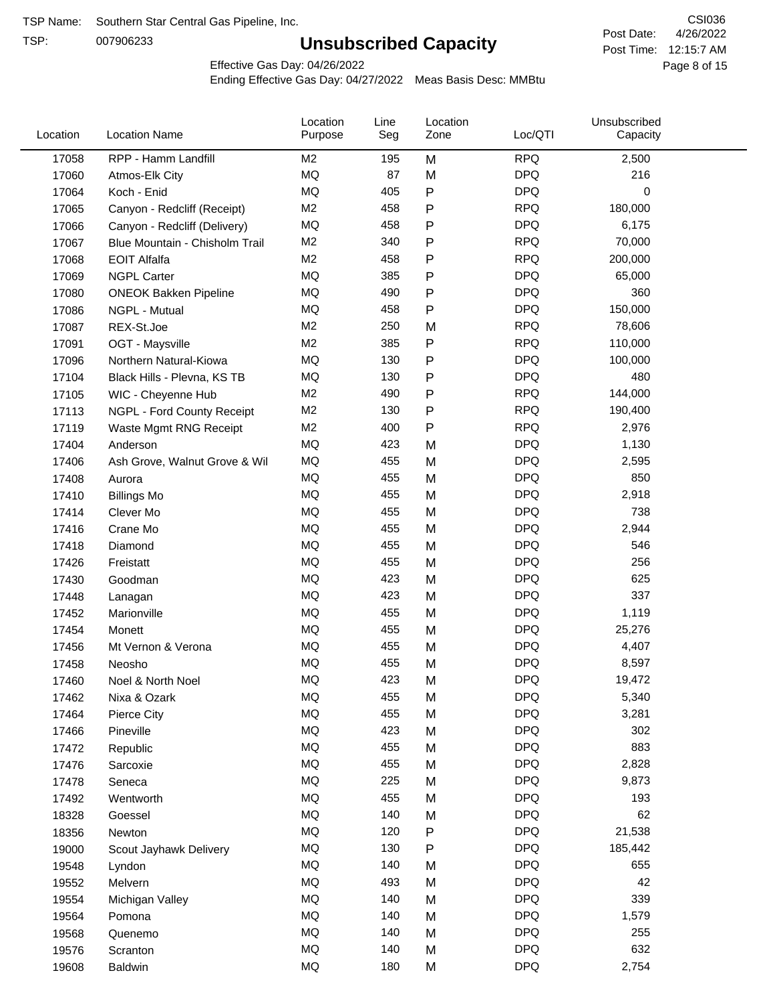TSP:

## **Unsubscribed Capacity**

4/26/2022 Page 8 of 15 Post Time: 12:15:7 AM CSI036 Post Date:

Effective Gas Day: 04/26/2022

| Location | <b>Location Name</b>           | Location<br>Purpose | Line<br>Seg | Location<br>Zone | Loc/QTI    | Unsubscribed<br>Capacity |  |
|----------|--------------------------------|---------------------|-------------|------------------|------------|--------------------------|--|
| 17058    | RPP - Hamm Landfill            | M2                  | 195         | M                | <b>RPQ</b> | 2,500                    |  |
| 17060    | Atmos-Elk City                 | MQ                  | 87          | M                | <b>DPQ</b> | 216                      |  |
| 17064    | Koch - Enid                    | MQ                  | 405         | P                | <b>DPQ</b> | 0                        |  |
| 17065    | Canyon - Redcliff (Receipt)    | M <sub>2</sub>      | 458         | P                | <b>RPQ</b> | 180,000                  |  |
| 17066    | Canyon - Redcliff (Delivery)   | <b>MQ</b>           | 458         | Ρ                | <b>DPQ</b> | 6,175                    |  |
| 17067    | Blue Mountain - Chisholm Trail | M <sub>2</sub>      | 340         | P                | <b>RPQ</b> | 70,000                   |  |
| 17068    | <b>EOIT Alfalfa</b>            | M <sub>2</sub>      | 458         | Ρ                | <b>RPQ</b> | 200,000                  |  |
| 17069    | <b>NGPL Carter</b>             | <b>MQ</b>           | 385         | P                | <b>DPQ</b> | 65,000                   |  |
| 17080    | <b>ONEOK Bakken Pipeline</b>   | MQ                  | 490         | Ρ                | <b>DPQ</b> | 360                      |  |
| 17086    | NGPL - Mutual                  | <b>MQ</b>           | 458         | Ρ                | <b>DPQ</b> | 150,000                  |  |
| 17087    | REX-St.Joe                     | M <sub>2</sub>      | 250         | M                | <b>RPQ</b> | 78,606                   |  |
| 17091    | OGT - Maysville                | M <sub>2</sub>      | 385         | Ρ                | <b>RPQ</b> | 110,000                  |  |
| 17096    | Northern Natural-Kiowa         | <b>MQ</b>           | 130         | P                | <b>DPQ</b> | 100,000                  |  |
| 17104    | Black Hills - Plevna, KS TB    | <b>MQ</b>           | 130         | Ρ                | <b>DPQ</b> | 480                      |  |
| 17105    | WIC - Cheyenne Hub             | M <sub>2</sub>      | 490         | P                | <b>RPQ</b> | 144,000                  |  |
| 17113    | NGPL - Ford County Receipt     | M <sub>2</sub>      | 130         | P                | <b>RPQ</b> | 190,400                  |  |
| 17119    | Waste Mgmt RNG Receipt         | M <sub>2</sub>      | 400         | P                | <b>RPQ</b> | 2,976                    |  |
| 17404    | Anderson                       | MQ                  | 423         | M                | <b>DPQ</b> | 1,130                    |  |
| 17406    | Ash Grove, Walnut Grove & Wil  | <b>MQ</b>           | 455         | M                | <b>DPQ</b> | 2,595                    |  |
| 17408    | Aurora                         | <b>MQ</b>           | 455         | M                | <b>DPQ</b> | 850                      |  |
| 17410    | <b>Billings Mo</b>             | <b>MQ</b>           | 455         | M                | <b>DPQ</b> | 2,918                    |  |
| 17414    | Clever Mo                      | <b>MQ</b>           | 455         | M                | <b>DPQ</b> | 738                      |  |
| 17416    | Crane Mo                       | <b>MQ</b>           | 455         | M                | <b>DPQ</b> | 2,944                    |  |
| 17418    | Diamond                        | <b>MQ</b>           | 455         | M                | <b>DPQ</b> | 546                      |  |
| 17426    | Freistatt                      | <b>MQ</b>           | 455         | M                | <b>DPQ</b> | 256                      |  |
| 17430    | Goodman                        | <b>MQ</b>           | 423         | M                | <b>DPQ</b> | 625                      |  |
| 17448    | Lanagan                        | <b>MQ</b>           | 423         | M                | <b>DPQ</b> | 337                      |  |
| 17452    | Marionville                    | <b>MQ</b>           | 455         | M                | <b>DPQ</b> | 1,119                    |  |
| 17454    | Monett                         | <b>MQ</b>           | 455         | M                | <b>DPQ</b> | 25,276                   |  |
| 17456    | Mt Vernon & Verona             | <b>MQ</b>           | 455         | M                | <b>DPQ</b> | 4,407                    |  |
| 17458    | Neosho                         | <b>MQ</b>           | 455         | M                | <b>DPQ</b> | 8,597                    |  |
| 17460    | Noel & North Noel              | MQ                  | 423         | M                | <b>DPQ</b> | 19,472                   |  |
| 17462    | Nixa & Ozark                   | MQ                  | 455         | M                | <b>DPQ</b> | 5,340                    |  |
| 17464    | Pierce City                    | $\sf{MQ}$           | 455         | M                | <b>DPQ</b> | 3,281                    |  |
| 17466    | Pineville                      | MQ                  | 423         | M                | <b>DPQ</b> | 302                      |  |
| 17472    | Republic                       | <b>MQ</b>           | 455         | M                | <b>DPQ</b> | 883                      |  |
| 17476    | Sarcoxie                       | MQ                  | 455         | M                | <b>DPQ</b> | 2,828                    |  |
| 17478    | Seneca                         | MQ                  | 225         | M                | <b>DPQ</b> | 9,873                    |  |
| 17492    | Wentworth                      | <b>MQ</b>           | 455         | M                | <b>DPQ</b> | 193                      |  |
| 18328    | Goessel                        | <b>MQ</b>           | 140         | M                | <b>DPQ</b> | 62                       |  |
| 18356    | Newton                         | MQ                  | 120         | P                | <b>DPQ</b> | 21,538                   |  |
| 19000    | Scout Jayhawk Delivery         | MQ                  | 130         | Ρ                | <b>DPQ</b> | 185,442                  |  |
| 19548    | Lyndon                         | $\sf{MQ}$           | 140         | M                | <b>DPQ</b> | 655                      |  |
| 19552    | Melvern                        | $\sf{MQ}$           | 493         | M                | <b>DPQ</b> | 42                       |  |
| 19554    | Michigan Valley                | MQ                  | 140         | M                | <b>DPQ</b> | 339                      |  |
| 19564    | Pomona                         | MQ                  | 140         | M                | <b>DPQ</b> | 1,579                    |  |
| 19568    | Quenemo                        | <b>MQ</b>           | 140         | M                | <b>DPQ</b> | 255                      |  |
| 19576    | Scranton                       | <b>MQ</b>           | 140         | M                | <b>DPQ</b> | 632                      |  |
| 19608    | Baldwin                        | $\sf{MQ}$           | 180         | M                | <b>DPQ</b> | 2,754                    |  |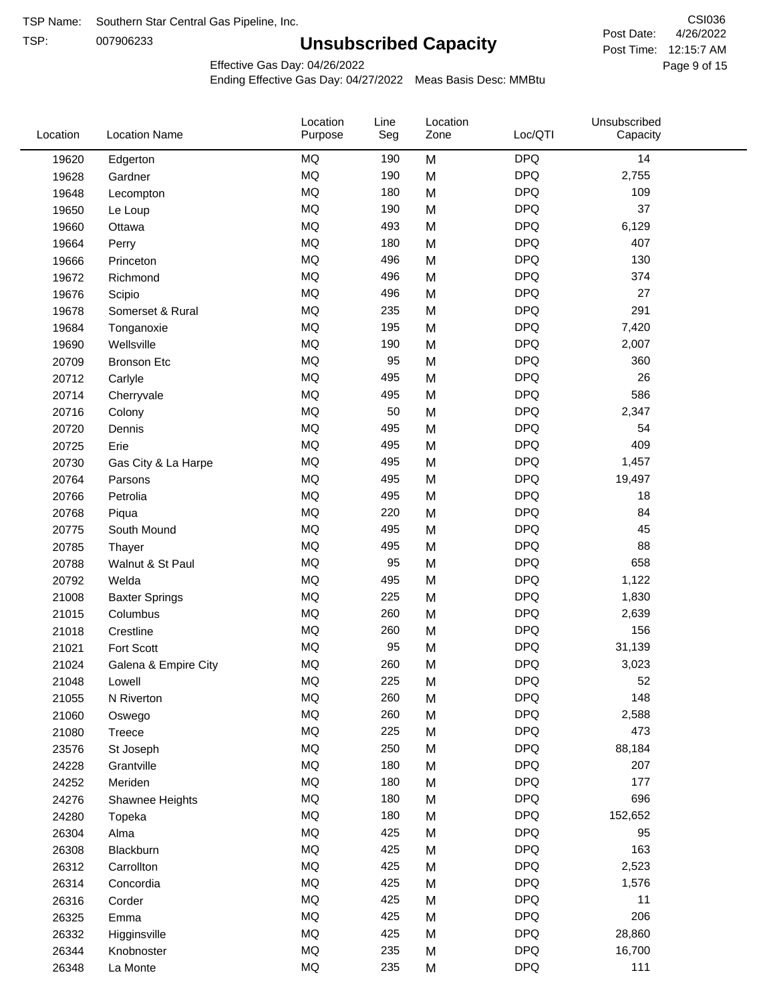TSP:

## **Unsubscribed Capacity**

4/26/2022 Page 9 of 15 Post Time: 12:15:7 AM CSI036 Post Date:

Effective Gas Day: 04/26/2022

| Location | <b>Location Name</b>  | Location<br>Purpose | Line<br>Seg | Location<br>Zone | Loc/QTI    | Unsubscribed<br>Capacity |
|----------|-----------------------|---------------------|-------------|------------------|------------|--------------------------|
| 19620    | Edgerton              | <b>MQ</b>           | 190         | M                | <b>DPQ</b> | 14                       |
| 19628    | Gardner               | <b>MQ</b>           | 190         | M                | <b>DPQ</b> | 2,755                    |
| 19648    | Lecompton             | <b>MQ</b>           | 180         | M                | <b>DPQ</b> | 109                      |
| 19650    | Le Loup               | <b>MQ</b>           | 190         | M                | <b>DPQ</b> | 37                       |
| 19660    | Ottawa                | <b>MQ</b>           | 493         | M                | <b>DPQ</b> | 6,129                    |
| 19664    | Perry                 | <b>MQ</b>           | 180         | M                | <b>DPQ</b> | 407                      |
| 19666    | Princeton             | <b>MQ</b>           | 496         | M                | <b>DPQ</b> | 130                      |
| 19672    | Richmond              | <b>MQ</b>           | 496         | M                | <b>DPQ</b> | 374                      |
| 19676    | Scipio                | <b>MQ</b>           | 496         | M                | <b>DPQ</b> | 27                       |
| 19678    | Somerset & Rural      | <b>MQ</b>           | 235         | M                | <b>DPQ</b> | 291                      |
| 19684    | Tonganoxie            | MQ                  | 195         | M                | <b>DPQ</b> | 7,420                    |
| 19690    | Wellsville            | <b>MQ</b>           | 190         | M                | <b>DPQ</b> | 2,007                    |
| 20709    | <b>Bronson Etc</b>    | <b>MQ</b>           | 95          | M                | <b>DPQ</b> | 360                      |
| 20712    | Carlyle               | <b>MQ</b>           | 495         | M                | <b>DPQ</b> | 26                       |
| 20714    | Cherryvale            | <b>MQ</b>           | 495         | M                | <b>DPQ</b> | 586                      |
| 20716    | Colony                | <b>MQ</b>           | 50          | M                | <b>DPQ</b> | 2,347                    |
| 20720    | Dennis                | <b>MQ</b>           | 495         | M                | <b>DPQ</b> | 54                       |
| 20725    | Erie                  | <b>MQ</b>           | 495         | M                | <b>DPQ</b> | 409                      |
| 20730    | Gas City & La Harpe   | <b>MQ</b>           | 495         | M                | <b>DPQ</b> | 1,457                    |
| 20764    | Parsons               | <b>MQ</b>           | 495         | M                | <b>DPQ</b> | 19,497                   |
| 20766    | Petrolia              | MQ                  | 495         | M                | <b>DPQ</b> | 18                       |
| 20768    | Piqua                 | <b>MQ</b>           | 220         | M                | <b>DPQ</b> | 84                       |
| 20775    | South Mound           | <b>MQ</b>           | 495         | M                | <b>DPQ</b> | 45                       |
| 20785    | Thayer                | <b>MQ</b>           | 495         | M                | <b>DPQ</b> | 88                       |
| 20788    | Walnut & St Paul      | <b>MQ</b>           | 95          | M                | <b>DPQ</b> | 658                      |
| 20792    | Welda                 | <b>MQ</b>           | 495         | M                | <b>DPQ</b> | 1,122                    |
| 21008    | <b>Baxter Springs</b> | <b>MQ</b>           | 225         | M                | <b>DPQ</b> | 1,830                    |
| 21015    | Columbus              | <b>MQ</b>           | 260         | M                | <b>DPQ</b> | 2,639                    |
| 21018    | Crestline             | <b>MQ</b>           | 260         | M                | <b>DPQ</b> | 156                      |
| 21021    | Fort Scott            | <b>MQ</b>           | 95          | M                | <b>DPQ</b> | 31,139                   |
| 21024    | Galena & Empire City  | <b>MQ</b>           | 260         | M                | <b>DPQ</b> | 3,023                    |
| 21048    | Lowell                | <b>MQ</b>           | 225         | M                | <b>DPQ</b> | 52                       |
| 21055    | N Riverton            | MQ                  | 260         | M                | <b>DPQ</b> | 148                      |
| 21060    | Oswego                | MQ                  | 260         | M                | <b>DPQ</b> | 2,588                    |
| 21080    | Treece                | MQ                  | 225         | M                | <b>DPQ</b> | 473                      |
| 23576    | St Joseph             | MQ                  | 250         | M                | <b>DPQ</b> | 88,184                   |
| 24228    | Grantville            | MQ                  | 180         | M                | <b>DPQ</b> | 207                      |
| 24252    | Meriden               | MQ                  | 180         | M                | <b>DPQ</b> | 177                      |
| 24276    | Shawnee Heights       | $\sf{MQ}$           | 180         | M                | <b>DPQ</b> | 696                      |
| 24280    | Topeka                | MQ                  | 180         | M                | <b>DPQ</b> | 152,652                  |
| 26304    | Alma                  | MQ                  | 425         | M                | <b>DPQ</b> | 95                       |
| 26308    | Blackburn             | MQ                  | 425         | M                | <b>DPQ</b> | 163                      |
| 26312    | Carrollton            | MQ                  | 425         | M                | <b>DPQ</b> | 2,523                    |
| 26314    | Concordia             | <b>MQ</b>           | 425         | M                | <b>DPQ</b> | 1,576                    |
| 26316    | Corder                | MQ                  | 425         | M                | <b>DPQ</b> | 11                       |
| 26325    | Emma                  | MQ                  | 425         | M                | <b>DPQ</b> | 206                      |
| 26332    | Higginsville          | MQ                  | 425         | M                | <b>DPQ</b> | 28,860                   |
| 26344    | Knobnoster            | $\sf{MQ}$           | 235         | M                | <b>DPQ</b> | 16,700                   |
| 26348    | La Monte              | $\sf{MQ}$           | 235         | M                | <b>DPQ</b> | 111                      |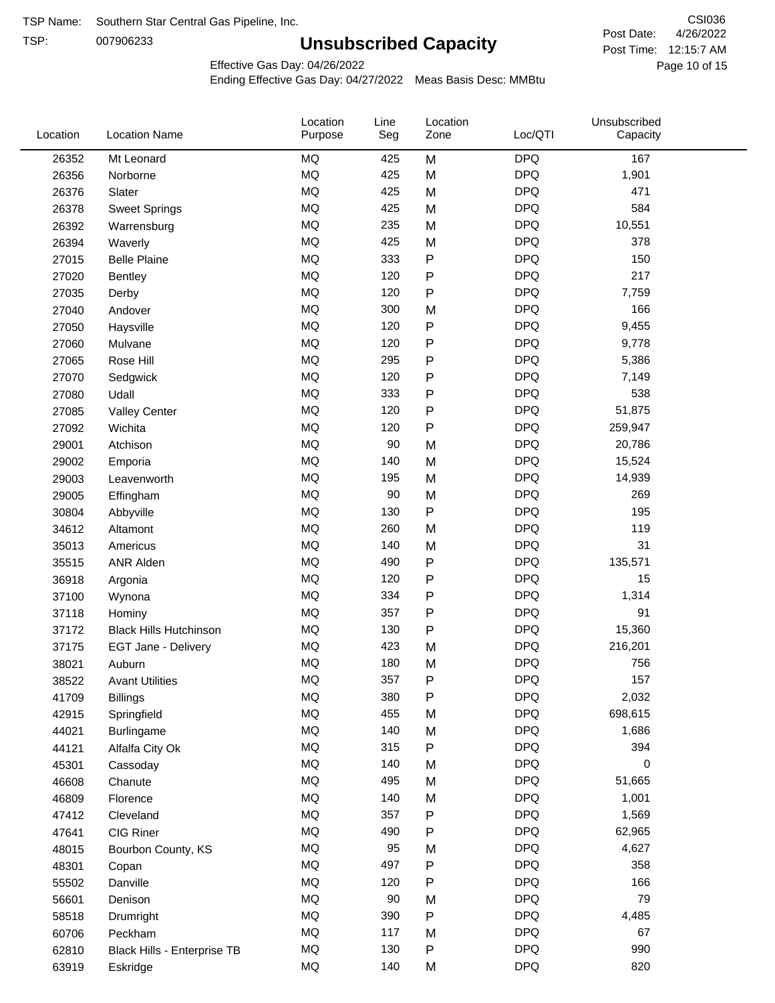TSP:

## **Unsubscribed Capacity**

4/26/2022 Page 10 of 15 Post Time: 12:15:7 AM CSI036 Post Date:

Effective Gas Day: 04/26/2022

| Location | <b>Location Name</b>          | Location<br>Purpose | Line<br>Seg | Location<br>Zone | Loc/QTI    | Unsubscribed<br>Capacity |  |
|----------|-------------------------------|---------------------|-------------|------------------|------------|--------------------------|--|
| 26352    | Mt Leonard                    | <b>MQ</b>           | 425         | M                | <b>DPQ</b> | 167                      |  |
| 26356    | Norborne                      | MQ                  | 425         | M                | <b>DPQ</b> | 1,901                    |  |
| 26376    | Slater                        | MQ                  | 425         | M                | <b>DPQ</b> | 471                      |  |
| 26378    | <b>Sweet Springs</b>          | MQ                  | 425         | M                | <b>DPQ</b> | 584                      |  |
| 26392    | Warrensburg                   | MQ                  | 235         | M                | <b>DPQ</b> | 10,551                   |  |
| 26394    | Waverly                       | <b>MQ</b>           | 425         | M                | <b>DPQ</b> | 378                      |  |
| 27015    | <b>Belle Plaine</b>           | <b>MQ</b>           | 333         | ${\sf P}$        | <b>DPQ</b> | 150                      |  |
| 27020    | <b>Bentley</b>                | <b>MQ</b>           | 120         | ${\sf P}$        | <b>DPQ</b> | 217                      |  |
| 27035    | Derby                         | MQ                  | 120         | P                | <b>DPQ</b> | 7,759                    |  |
| 27040    | Andover                       | MQ                  | 300         | M                | <b>DPQ</b> | 166                      |  |
| 27050    | Haysville                     | MQ                  | 120         | ${\sf P}$        | <b>DPQ</b> | 9,455                    |  |
| 27060    | Mulvane                       | MQ                  | 120         | ${\sf P}$        | <b>DPQ</b> | 9,778                    |  |
| 27065    | Rose Hill                     | MQ                  | 295         | P                | <b>DPQ</b> | 5,386                    |  |
| 27070    | Sedgwick                      | <b>MQ</b>           | 120         | ${\sf P}$        | <b>DPQ</b> | 7,149                    |  |
| 27080    | Udall                         | <b>MQ</b>           | 333         | ${\sf P}$        | <b>DPQ</b> | 538                      |  |
| 27085    | <b>Valley Center</b>          | <b>MQ</b>           | 120         | P                | <b>DPQ</b> | 51,875                   |  |
| 27092    | Wichita                       | MQ                  | 120         | ${\sf P}$        | <b>DPQ</b> | 259,947                  |  |
| 29001    | Atchison                      | MQ                  | 90          | M                | <b>DPQ</b> | 20,786                   |  |
| 29002    | Emporia                       | MQ                  | 140         | M                | <b>DPQ</b> | 15,524                   |  |
| 29003    | Leavenworth                   | MQ                  | 195         | M                | <b>DPQ</b> | 14,939                   |  |
| 29005    | Effingham                     | MQ                  | 90          | M                | <b>DPQ</b> | 269                      |  |
| 30804    | Abbyville                     | MQ                  | 130         | ${\sf P}$        | <b>DPQ</b> | 195                      |  |
| 34612    | Altamont                      | <b>MQ</b>           | 260         | M                | <b>DPQ</b> | 119                      |  |
| 35013    | Americus                      | MQ                  | 140         | M                | <b>DPQ</b> | 31                       |  |
| 35515    | <b>ANR Alden</b>              | MQ                  | 490         | ${\sf P}$        | <b>DPQ</b> | 135,571                  |  |
| 36918    | Argonia                       | MQ                  | 120         | ${\sf P}$        | <b>DPQ</b> | 15                       |  |
| 37100    | Wynona                        | MQ                  | 334         | P                | <b>DPQ</b> | 1,314                    |  |
| 37118    | Hominy                        | <b>MQ</b>           | 357         | P                | <b>DPQ</b> | 91                       |  |
| 37172    | <b>Black Hills Hutchinson</b> | MQ                  | 130         | ${\sf P}$        | <b>DPQ</b> | 15,360                   |  |
| 37175    | EGT Jane - Delivery           | MQ                  | 423         | M                | <b>DPQ</b> | 216,201                  |  |
| 38021    | Auburn                        | MQ                  | 180         | M                | <b>DPQ</b> | 756                      |  |
| 38522    | <b>Avant Utilities</b>        | MQ                  | 357         | P                | <b>DPQ</b> | 157                      |  |
| 41709    | <b>Billings</b>               | MQ                  | 380         | P                | <b>DPQ</b> | 2,032                    |  |
| 42915    | Springfield                   | $\sf{MQ}$           | 455         | M                | <b>DPQ</b> | 698,615                  |  |
| 44021    | <b>Burlingame</b>             | $\sf{MQ}$           | 140         | M                | <b>DPQ</b> | 1,686                    |  |
| 44121    | Alfalfa City Ok               | $\sf{MQ}$           | 315         | P                | <b>DPQ</b> | 394                      |  |
| 45301    | Cassoday                      | MQ                  | 140         | M                | <b>DPQ</b> | 0                        |  |
| 46608    | Chanute                       | <b>MQ</b>           | 495         | M                | <b>DPQ</b> | 51,665                   |  |
| 46809    | Florence                      | MQ                  | 140         | M                | <b>DPQ</b> | 1,001                    |  |
| 47412    | Cleveland                     | MQ                  | 357         | P                | <b>DPQ</b> | 1,569                    |  |
| 47641    | CIG Riner                     | $\sf{MQ}$           | 490         | P                | <b>DPQ</b> | 62,965                   |  |
| 48015    | Bourbon County, KS            | MQ                  | 95          | M                | <b>DPQ</b> | 4,627                    |  |
| 48301    | Copan                         | MQ                  | 497         | ${\sf P}$        | <b>DPQ</b> | 358                      |  |
| 55502    | Danville                      | $\sf{MQ}$           | 120         | ${\sf P}$        | <b>DPQ</b> | 166                      |  |
| 56601    | Denison                       | MQ                  | 90          | M                | <b>DPQ</b> | 79                       |  |
| 58518    | Drumright                     | MQ                  | 390         | P                | <b>DPQ</b> | 4,485                    |  |
| 60706    | Peckham                       | MQ                  | 117         | M                | <b>DPQ</b> | 67                       |  |
| 62810    | Black Hills - Enterprise TB   | MQ                  | 130         | ${\sf P}$        | <b>DPQ</b> | 990                      |  |
| 63919    | Eskridge                      | $\sf{MQ}$           | 140         | M                | <b>DPQ</b> | 820                      |  |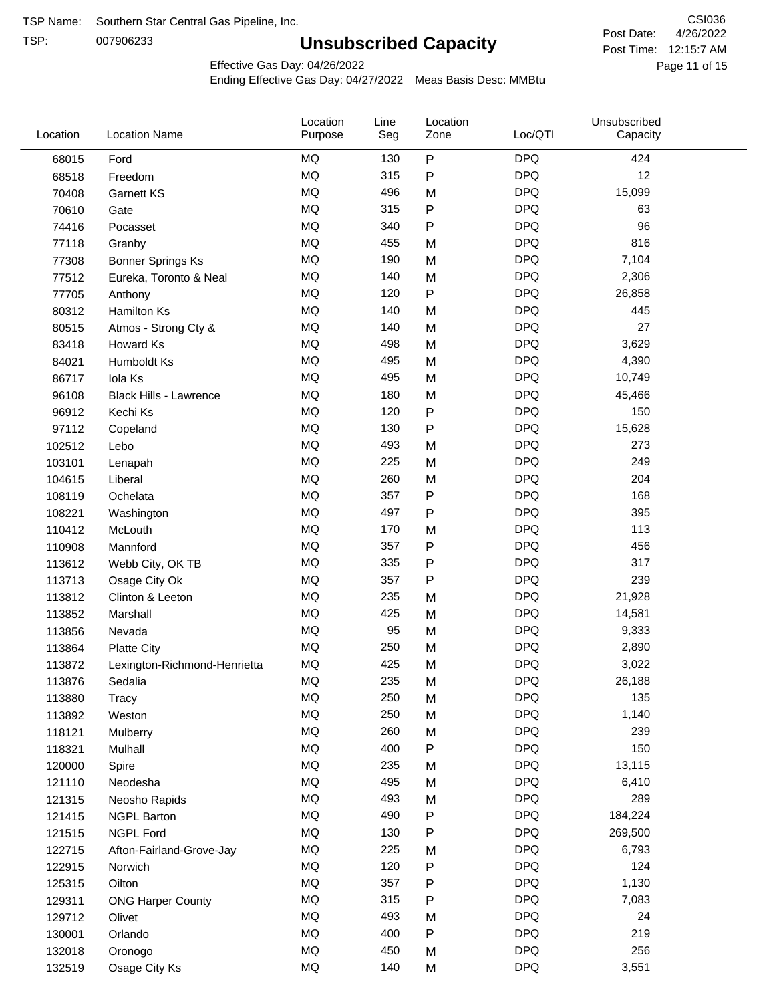TSP:

## **Unsubscribed Capacity**

4/26/2022 Page 11 of 15 Post Time: 12:15:7 AM CSI036 Post Date:

Effective Gas Day: 04/26/2022

| Location | <b>Location Name</b>          | Location<br>Purpose | Line<br>Seg | Location<br>Zone | Loc/QTI    | Unsubscribed<br>Capacity |  |
|----------|-------------------------------|---------------------|-------------|------------------|------------|--------------------------|--|
| 68015    | Ford                          | <b>MQ</b>           | 130         | $\sf P$          | <b>DPQ</b> | 424                      |  |
| 68518    | Freedom                       | MQ                  | 315         | P                | <b>DPQ</b> | 12                       |  |
| 70408    | <b>Garnett KS</b>             | MQ                  | 496         | M                | <b>DPQ</b> | 15,099                   |  |
| 70610    | Gate                          | MQ                  | 315         | Ρ                | <b>DPQ</b> | 63                       |  |
| 74416    | Pocasset                      | MQ                  | 340         | P                | <b>DPQ</b> | 96                       |  |
| 77118    | Granby                        | MQ                  | 455         | M                | <b>DPQ</b> | 816                      |  |
| 77308    | <b>Bonner Springs Ks</b>      | MQ                  | 190         | M                | <b>DPQ</b> | 7,104                    |  |
| 77512    | Eureka, Toronto & Neal        | MQ                  | 140         | M                | <b>DPQ</b> | 2,306                    |  |
| 77705    | Anthony                       | MQ                  | 120         | P                | <b>DPQ</b> | 26,858                   |  |
| 80312    | <b>Hamilton Ks</b>            | MQ                  | 140         | M                | <b>DPQ</b> | 445                      |  |
| 80515    | Atmos - Strong Cty &          | MQ                  | 140         | M                | <b>DPQ</b> | 27                       |  |
| 83418    | Howard Ks                     | MQ                  | 498         | M                | <b>DPQ</b> | 3,629                    |  |
| 84021    | Humboldt Ks                   | MQ                  | 495         | M                | <b>DPQ</b> | 4,390                    |  |
| 86717    | Iola Ks                       | MQ                  | 495         | M                | <b>DPQ</b> | 10,749                   |  |
| 96108    | <b>Black Hills - Lawrence</b> | MQ                  | 180         | M                | <b>DPQ</b> | 45,466                   |  |
| 96912    | Kechi Ks                      | MQ                  | 120         | Ρ                | <b>DPQ</b> | 150                      |  |
| 97112    | Copeland                      | MQ                  | 130         | P                | <b>DPQ</b> | 15,628                   |  |
| 102512   | Lebo                          | MQ                  | 493         | M                | <b>DPQ</b> | 273                      |  |
| 103101   | Lenapah                       | MQ                  | 225         | M                | <b>DPQ</b> | 249                      |  |
| 104615   | Liberal                       | MQ                  | 260         | M                | <b>DPQ</b> | 204                      |  |
| 108119   | Ochelata                      | MQ                  | 357         | P                | <b>DPQ</b> | 168                      |  |
| 108221   | Washington                    | MQ                  | 497         | P                | <b>DPQ</b> | 395                      |  |
| 110412   | McLouth                       | MQ                  | 170         | M                | <b>DPQ</b> | 113                      |  |
| 110908   | Mannford                      | MQ                  | 357         | P                | <b>DPQ</b> | 456                      |  |
| 113612   | Webb City, OK TB              | MQ                  | 335         | Ρ                | <b>DPQ</b> | 317                      |  |
| 113713   | Osage City Ok                 | <b>MQ</b>           | 357         | $\mathsf{P}$     | <b>DPQ</b> | 239                      |  |
| 113812   | Clinton & Leeton              | <b>MQ</b>           | 235         | M                | <b>DPQ</b> | 21,928                   |  |
| 113852   | Marshall                      | <b>MQ</b>           | 425         | M                | <b>DPQ</b> | 14,581                   |  |
| 113856   | Nevada                        | <b>MQ</b>           | 95          | M                | <b>DPQ</b> | 9,333                    |  |
| 113864   | <b>Platte City</b>            | MQ                  | 250         | M                | <b>DPQ</b> | 2,890                    |  |
| 113872   | Lexington-Richmond-Henrietta  | MQ                  | 425         | M                | <b>DPQ</b> | 3,022                    |  |
| 113876   | Sedalia                       | MQ                  | 235         | M                | <b>DPQ</b> | 26,188                   |  |
| 113880   | Tracy                         | MQ                  | 250         | M                | <b>DPQ</b> | 135                      |  |
| 113892   | Weston                        | MQ                  | 250         | M                | <b>DPQ</b> | 1,140                    |  |
| 118121   | Mulberry                      | MQ                  | 260         | M                | <b>DPQ</b> | 239                      |  |
| 118321   | Mulhall                       | MQ                  | 400         | Ρ                | <b>DPQ</b> | 150                      |  |
| 120000   | Spire                         | MQ                  | 235         | M                | <b>DPQ</b> | 13,115                   |  |
| 121110   | Neodesha                      | MQ                  | 495         | M                | <b>DPQ</b> | 6,410                    |  |
| 121315   | Neosho Rapids                 | MQ                  | 493         | M                | <b>DPQ</b> | 289                      |  |
| 121415   | <b>NGPL Barton</b>            | MQ                  | 490         | Ρ                | <b>DPQ</b> | 184,224                  |  |
| 121515   | <b>NGPL Ford</b>              | MQ                  | 130         | Ρ                | <b>DPQ</b> | 269,500                  |  |
| 122715   | Afton-Fairland-Grove-Jay      | MQ                  | 225         | M                | <b>DPQ</b> | 6,793                    |  |
| 122915   | Norwich                       | MQ                  | 120         | Ρ                | <b>DPQ</b> | 124                      |  |
| 125315   | Oilton                        | MQ                  | 357         | P                | <b>DPQ</b> | 1,130                    |  |
| 129311   | <b>ONG Harper County</b>      | MQ                  | 315         | P                | <b>DPQ</b> | 7,083                    |  |
| 129712   | Olivet                        | MQ                  | 493         | M                | <b>DPQ</b> | 24                       |  |
| 130001   | Orlando                       | MQ                  | 400         | P                | <b>DPQ</b> | 219                      |  |
| 132018   | Oronogo                       | MQ                  | 450         | M                | <b>DPQ</b> | 256                      |  |
| 132519   | Osage City Ks                 | MQ                  | 140         | M                | <b>DPQ</b> | 3,551                    |  |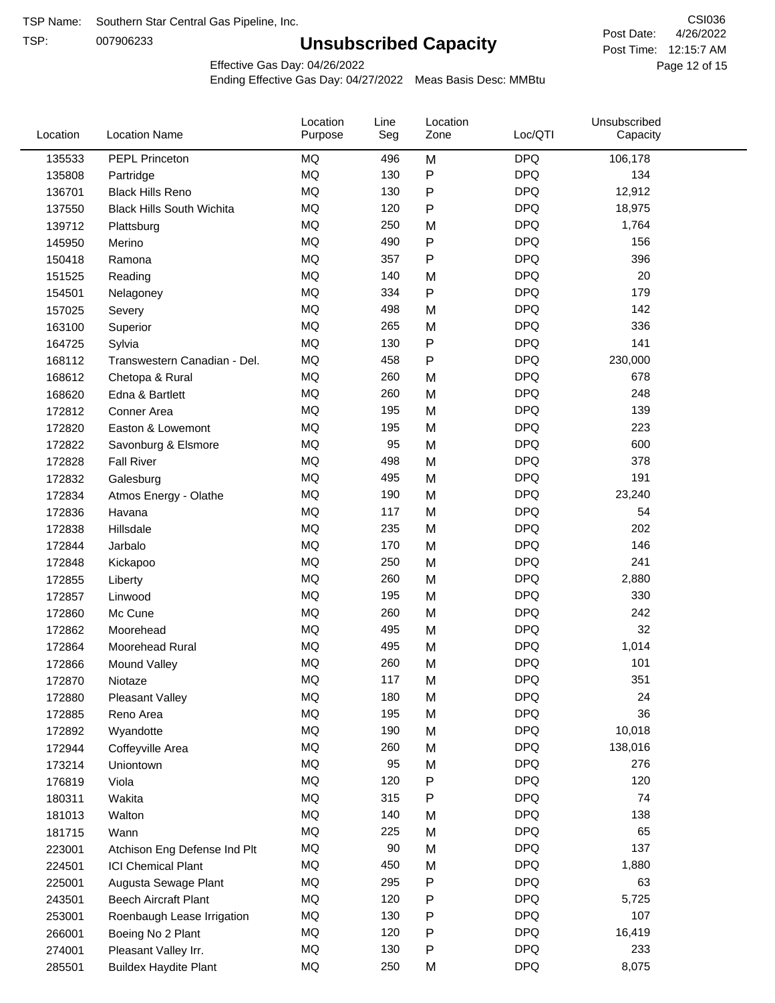TSP:

## **Unsubscribed Capacity**

4/26/2022 Page 12 of 15 Post Time: 12:15:7 AM CSI036 Post Date:

Effective Gas Day: 04/26/2022

| Location | <b>Location Name</b>             | Location<br>Purpose | Line<br>Seg | Location<br>Zone | Loc/QTI    | Unsubscribed<br>Capacity |  |
|----------|----------------------------------|---------------------|-------------|------------------|------------|--------------------------|--|
| 135533   | PEPL Princeton                   | MQ                  | 496         | M                | <b>DPQ</b> | 106,178                  |  |
| 135808   | Partridge                        | MQ                  | 130         | P                | <b>DPQ</b> | 134                      |  |
| 136701   | <b>Black Hills Reno</b>          | MQ                  | 130         | P                | <b>DPQ</b> | 12,912                   |  |
| 137550   | <b>Black Hills South Wichita</b> | MQ                  | 120         | ${\sf P}$        | <b>DPQ</b> | 18,975                   |  |
| 139712   | Plattsburg                       | <b>MQ</b>           | 250         | M                | <b>DPQ</b> | 1,764                    |  |
| 145950   | Merino                           | <b>MQ</b>           | 490         | P                | <b>DPQ</b> | 156                      |  |
| 150418   | Ramona                           | <b>MQ</b>           | 357         | P                | <b>DPQ</b> | 396                      |  |
| 151525   | Reading                          | <b>MQ</b>           | 140         | M                | <b>DPQ</b> | 20                       |  |
| 154501   | Nelagoney                        | MQ                  | 334         | P                | <b>DPQ</b> | 179                      |  |
| 157025   | Severy                           | <b>MQ</b>           | 498         | M                | <b>DPQ</b> | 142                      |  |
| 163100   | Superior                         | MQ                  | 265         | M                | <b>DPQ</b> | 336                      |  |
| 164725   | Sylvia                           | MQ                  | 130         | P                | <b>DPQ</b> | 141                      |  |
| 168112   | Transwestern Canadian - Del.     | <b>MQ</b>           | 458         | P                | <b>DPQ</b> | 230,000                  |  |
| 168612   | Chetopa & Rural                  | <b>MQ</b>           | 260         | M                | <b>DPQ</b> | 678                      |  |
| 168620   | Edna & Bartlett                  | <b>MQ</b>           | 260         | M                | <b>DPQ</b> | 248                      |  |
| 172812   | Conner Area                      | MQ                  | 195         | M                | <b>DPQ</b> | 139                      |  |
| 172820   | Easton & Lowemont                | MQ                  | 195         | M                | <b>DPQ</b> | 223                      |  |
| 172822   | Savonburg & Elsmore              | MQ                  | 95          | M                | <b>DPQ</b> | 600                      |  |
| 172828   | <b>Fall River</b>                | MQ                  | 498         | M                | <b>DPQ</b> | 378                      |  |
| 172832   | Galesburg                        | MQ                  | 495         | M                | <b>DPQ</b> | 191                      |  |
| 172834   | Atmos Energy - Olathe            | MQ                  | 190         | M                | <b>DPQ</b> | 23,240                   |  |
| 172836   | Havana                           | <b>MQ</b>           | 117         | M                | <b>DPQ</b> | 54                       |  |
| 172838   | Hillsdale                        | <b>MQ</b>           | 235         | M                | <b>DPQ</b> | 202                      |  |
| 172844   | Jarbalo                          | <b>MQ</b>           | 170         | M                | <b>DPQ</b> | 146                      |  |
| 172848   | Kickapoo                         | <b>MQ</b>           | 250         | M                | <b>DPQ</b> | 241                      |  |
| 172855   | Liberty                          | MQ                  | 260         | M                | <b>DPQ</b> | 2,880                    |  |
| 172857   | Linwood                          | <b>MQ</b>           | 195         | M                | <b>DPQ</b> | 330                      |  |
| 172860   | Mc Cune                          | MQ                  | 260         | M                | <b>DPQ</b> | 242                      |  |
| 172862   | Moorehead                        | MQ                  | 495         | M                | <b>DPQ</b> | 32                       |  |
| 172864   | Moorehead Rural                  | MQ                  | 495         | M                | <b>DPQ</b> | 1,014                    |  |
| 172866   | <b>Mound Valley</b>              | MQ                  | 260         | M                | <b>DPQ</b> | 101                      |  |
| 172870   | Niotaze                          | MQ                  | 117         | M                | <b>DPQ</b> | 351                      |  |
| 172880   | <b>Pleasant Valley</b>           | MQ                  | 180         | M                | <b>DPQ</b> | 24                       |  |
| 172885   | Reno Area                        | MQ                  | 195         | M                | <b>DPQ</b> | 36                       |  |
| 172892   | Wyandotte                        | MQ                  | 190         | M                | <b>DPQ</b> | 10,018                   |  |
| 172944   | Coffeyville Area                 | MQ                  | 260         | M                | <b>DPQ</b> | 138,016                  |  |
| 173214   | Uniontown                        | MQ                  | 95          | M                | <b>DPQ</b> | 276                      |  |
| 176819   | Viola                            | MQ                  | 120         | P                | <b>DPQ</b> | 120                      |  |
| 180311   | Wakita                           | MQ                  | 315         | P                | <b>DPQ</b> | 74                       |  |
| 181013   | Walton                           | MQ                  | 140         | M                | <b>DPQ</b> | 138                      |  |
| 181715   | Wann                             | MQ                  | 225         | M                | <b>DPQ</b> | 65                       |  |
| 223001   | Atchison Eng Defense Ind Plt     | MQ                  | 90          | M                | <b>DPQ</b> | 137                      |  |
| 224501   | <b>ICI Chemical Plant</b>        | MQ                  | 450         | M                | <b>DPQ</b> | 1,880                    |  |
| 225001   | Augusta Sewage Plant             | MQ                  | 295         | P                | <b>DPQ</b> | 63                       |  |
| 243501   | <b>Beech Aircraft Plant</b>      | MQ                  | 120         | P                | <b>DPQ</b> | 5,725                    |  |
| 253001   | Roenbaugh Lease Irrigation       | MQ                  | 130         | P                | <b>DPQ</b> | 107                      |  |
| 266001   | Boeing No 2 Plant                | MQ                  | 120         | P                | <b>DPQ</b> | 16,419                   |  |
| 274001   | Pleasant Valley Irr.             | MQ                  | 130         | P                | <b>DPQ</b> | 233                      |  |
| 285501   | <b>Buildex Haydite Plant</b>     | MQ                  | 250         | M                | <b>DPQ</b> | 8,075                    |  |
|          |                                  |                     |             |                  |            |                          |  |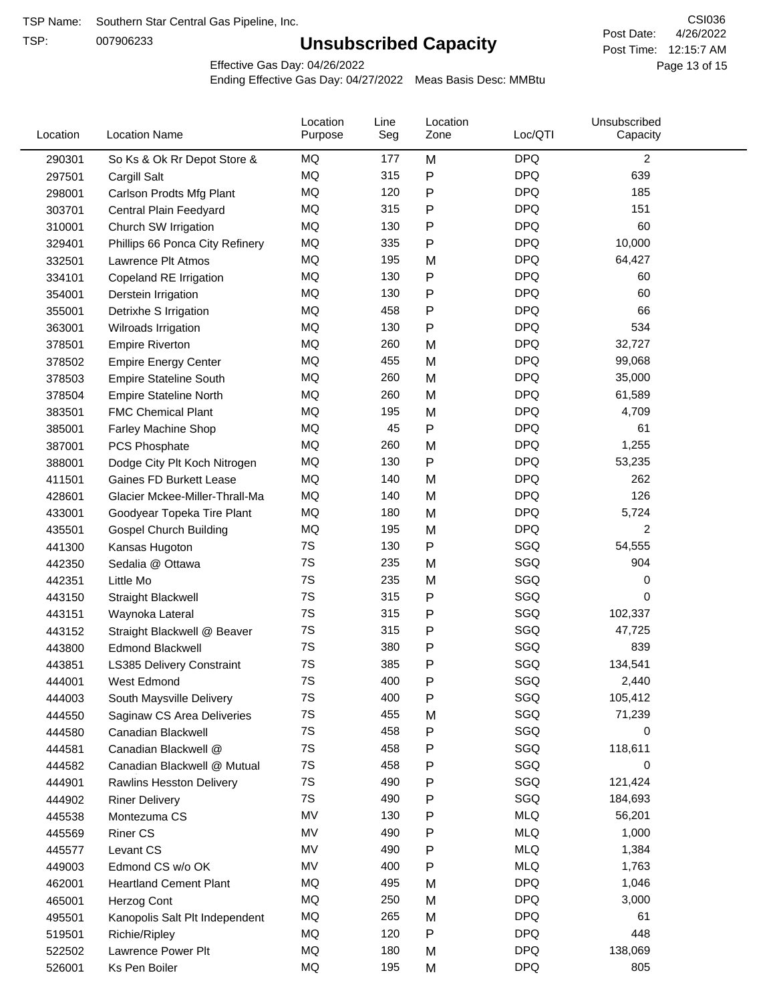TSP:

## **Unsubscribed Capacity**

4/26/2022 Page 13 of 15 Post Time: 12:15:7 AM CSI036 Post Date:

Effective Gas Day: 04/26/2022

| Location | <b>Location Name</b>            | Location<br>Purpose | Line<br>Seg | Location<br>Zone | Loc/QTI    | Unsubscribed<br>Capacity |  |
|----------|---------------------------------|---------------------|-------------|------------------|------------|--------------------------|--|
| 290301   | So Ks & Ok Rr Depot Store &     | MQ                  | 177         | M                | <b>DPQ</b> | $\overline{2}$           |  |
| 297501   | Cargill Salt                    | MQ                  | 315         | Ρ                | <b>DPQ</b> | 639                      |  |
| 298001   | Carlson Prodts Mfg Plant        | MQ                  | 120         | Ρ                | <b>DPQ</b> | 185                      |  |
| 303701   | Central Plain Feedyard          | MQ                  | 315         | Ρ                | <b>DPQ</b> | 151                      |  |
| 310001   | Church SW Irrigation            | MQ                  | 130         | Ρ                | <b>DPQ</b> | 60                       |  |
| 329401   | Phillips 66 Ponca City Refinery | MQ                  | 335         | Ρ                | <b>DPQ</b> | 10,000                   |  |
| 332501   | Lawrence Plt Atmos              | MQ                  | 195         | M                | <b>DPQ</b> | 64,427                   |  |
| 334101   | Copeland RE Irrigation          | MQ                  | 130         | P                | <b>DPQ</b> | 60                       |  |
| 354001   | Derstein Irrigation             | MQ                  | 130         | Ρ                | <b>DPQ</b> | 60                       |  |
| 355001   | Detrixhe S Irrigation           | MQ                  | 458         | P                | <b>DPQ</b> | 66                       |  |
| 363001   | Wilroads Irrigation             | MQ                  | 130         | Ρ                | <b>DPQ</b> | 534                      |  |
| 378501   | <b>Empire Riverton</b>          | MQ                  | 260         | M                | <b>DPQ</b> | 32,727                   |  |
| 378502   | <b>Empire Energy Center</b>     | MQ                  | 455         | M                | <b>DPQ</b> | 99,068                   |  |
| 378503   | <b>Empire Stateline South</b>   | MQ                  | 260         | M                | <b>DPQ</b> | 35,000                   |  |
| 378504   | <b>Empire Stateline North</b>   | MQ                  | 260         | M                | <b>DPQ</b> | 61,589                   |  |
| 383501   | <b>FMC Chemical Plant</b>       | MQ                  | 195         | M                | <b>DPQ</b> | 4,709                    |  |
| 385001   | Farley Machine Shop             | MQ                  | 45          | P                | <b>DPQ</b> | 61                       |  |
| 387001   | PCS Phosphate                   | MQ                  | 260         | M                | <b>DPQ</b> | 1,255                    |  |
| 388001   | Dodge City Plt Koch Nitrogen    | MQ                  | 130         | P                | <b>DPQ</b> | 53,235                   |  |
| 411501   | Gaines FD Burkett Lease         | MQ                  | 140         | M                | <b>DPQ</b> | 262                      |  |
| 428601   | Glacier Mckee-Miller-Thrall-Ma  | MQ                  | 140         | M                | <b>DPQ</b> | 126                      |  |
| 433001   | Goodyear Topeka Tire Plant      | MQ                  | 180         | M                | <b>DPQ</b> | 5,724                    |  |
| 435501   | <b>Gospel Church Building</b>   | MQ                  | 195         | M                | <b>DPQ</b> | $\overline{c}$           |  |
| 441300   | Kansas Hugoton                  | 7S                  | 130         | Ρ                | SGQ        | 54,555                   |  |
| 442350   | Sedalia @ Ottawa                | 7S                  | 235         | M                | SGQ        | 904                      |  |
| 442351   | Little Mo                       | 7S                  | 235         | M                | SGQ        | 0                        |  |
| 443150   | <b>Straight Blackwell</b>       | 7S                  | 315         | Ρ                | SGQ        | 0                        |  |
| 443151   | Waynoka Lateral                 | 7S                  | 315         | Ρ                | SGQ        | 102,337                  |  |
| 443152   | Straight Blackwell @ Beaver     | 7S                  | 315         | Ρ                | SGQ        | 47,725                   |  |
| 443800   | <b>Edmond Blackwell</b>         | 7S                  | 380         | Ρ                | SGQ        | 839                      |  |
| 443851   | LS385 Delivery Constraint       | 7S                  | 385         | Ρ                | SGQ        | 134,541                  |  |
| 444001   | West Edmond                     | 7S                  | 400         | Ρ                | SGQ        | 2,440                    |  |
| 444003   | South Maysville Delivery        | 7S                  | 400         | P                | SGQ        | 105,412                  |  |
| 444550   | Saginaw CS Area Deliveries      | 7S                  | 455         | M                | SGQ        | 71,239                   |  |
| 444580   | Canadian Blackwell              | 7S                  | 458         | P                | SGQ        | 0                        |  |
| 444581   | Canadian Blackwell @            | 7S                  | 458         | Ρ                | SGQ        | 118,611                  |  |
| 444582   | Canadian Blackwell @ Mutual     | 7S                  | 458         | Ρ                | SGQ        | 0                        |  |
| 444901   | <b>Rawlins Hesston Delivery</b> | 7S                  | 490         | Ρ                | SGQ        | 121,424                  |  |
| 444902   | <b>Riner Delivery</b>           | 7S                  | 490         | Ρ                | SGQ        | 184,693                  |  |
| 445538   | Montezuma CS                    | MV                  | 130         | Ρ                | <b>MLQ</b> | 56,201                   |  |
| 445569   | <b>Riner CS</b>                 | MV                  | 490         | Ρ                | <b>MLQ</b> | 1,000                    |  |
| 445577   | Levant CS                       | MV                  | 490         | Ρ                | <b>MLQ</b> | 1,384                    |  |
| 449003   | Edmond CS w/o OK                | MV                  | 400         | Ρ                | <b>MLQ</b> | 1,763                    |  |
| 462001   | <b>Heartland Cement Plant</b>   | MQ                  | 495         | M                | <b>DPQ</b> | 1,046                    |  |
| 465001   | Herzog Cont                     | MQ                  | 250         | M                | <b>DPQ</b> | 3,000                    |  |
| 495501   | Kanopolis Salt Plt Independent  | MQ                  | 265         | M                | <b>DPQ</b> | 61                       |  |
| 519501   | Richie/Ripley                   | MQ                  | 120         | Ρ                | <b>DPQ</b> | 448                      |  |
| 522502   | Lawrence Power Plt              | MQ                  | 180         | M                | <b>DPQ</b> | 138,069                  |  |
| 526001   | Ks Pen Boiler                   | MQ                  | 195         | M                | <b>DPQ</b> | 805                      |  |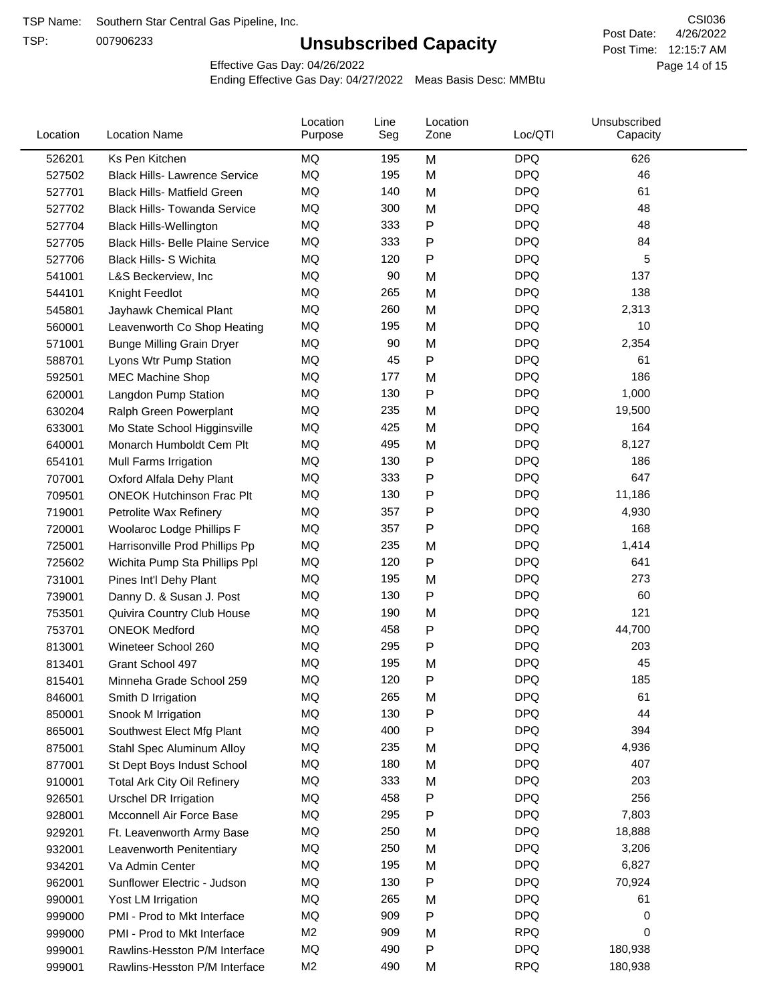TSP:

## **Unsubscribed Capacity**

4/26/2022 Page 14 of 15 Post Time: 12:15:7 AM CSI036 Post Date:

Effective Gas Day: 04/26/2022

| Location | <b>Location Name</b>                     | Location<br>Purpose | Line<br>Seg | Location<br>Zone | Loc/QTI    | Unsubscribed<br>Capacity |  |
|----------|------------------------------------------|---------------------|-------------|------------------|------------|--------------------------|--|
| 526201   | Ks Pen Kitchen                           | MQ                  | 195         | M                | <b>DPQ</b> | 626                      |  |
| 527502   | <b>Black Hills- Lawrence Service</b>     | MQ                  | 195         | M                | <b>DPQ</b> | 46                       |  |
| 527701   | <b>Black Hills- Matfield Green</b>       | MQ                  | 140         | M                | <b>DPQ</b> | 61                       |  |
| 527702   | <b>Black Hills- Towanda Service</b>      | <b>MQ</b>           | 300         | M                | <b>DPQ</b> | 48                       |  |
| 527704   | <b>Black Hills-Wellington</b>            | <b>MQ</b>           | 333         | Ρ                | <b>DPQ</b> | 48                       |  |
| 527705   | <b>Black Hills- Belle Plaine Service</b> | MQ                  | 333         | P                | <b>DPQ</b> | 84                       |  |
| 527706   | Black Hills- S Wichita                   | <b>MQ</b>           | 120         | Ρ                | <b>DPQ</b> | 5                        |  |
| 541001   | L&S Beckerview, Inc                      | MQ                  | 90          | M                | <b>DPQ</b> | 137                      |  |
| 544101   | Knight Feedlot                           | MQ                  | 265         | M                | <b>DPQ</b> | 138                      |  |
| 545801   | Jayhawk Chemical Plant                   | MQ                  | 260         | M                | <b>DPQ</b> | 2,313                    |  |
| 560001   | Leavenworth Co Shop Heating              | MQ                  | 195         | M                | <b>DPQ</b> | 10                       |  |
| 571001   | <b>Bunge Milling Grain Dryer</b>         | MQ                  | 90          | M                | <b>DPQ</b> | 2,354                    |  |
| 588701   | Lyons Wtr Pump Station                   | MQ                  | 45          | P                | <b>DPQ</b> | 61                       |  |
| 592501   | <b>MEC Machine Shop</b>                  | <b>MQ</b>           | 177         | M                | <b>DPQ</b> | 186                      |  |
| 620001   | Langdon Pump Station                     | MQ                  | 130         | P                | <b>DPQ</b> | 1,000                    |  |
| 630204   | Ralph Green Powerplant                   | MQ                  | 235         | M                | <b>DPQ</b> | 19,500                   |  |
| 633001   | Mo State School Higginsville             | MQ                  | 425         | M                | <b>DPQ</b> | 164                      |  |
| 640001   | Monarch Humboldt Cem Plt                 | MQ                  | 495         | M                | <b>DPQ</b> | 8,127                    |  |
| 654101   | Mull Farms Irrigation                    | MQ                  | 130         | P                | <b>DPQ</b> | 186                      |  |
| 707001   | Oxford Alfala Dehy Plant                 | MQ                  | 333         | P                | <b>DPQ</b> | 647                      |  |
| 709501   | <b>ONEOK Hutchinson Frac Plt</b>         | MQ                  | 130         | Ρ                | <b>DPQ</b> | 11,186                   |  |
| 719001   | Petrolite Wax Refinery                   | MQ                  | 357         | Ρ                | <b>DPQ</b> | 4,930                    |  |
| 720001   | Woolaroc Lodge Phillips F                | <b>MQ</b>           | 357         | P                | <b>DPQ</b> | 168                      |  |
| 725001   | Harrisonville Prod Phillips Pp           | MQ                  | 235         | M                | <b>DPQ</b> | 1,414                    |  |
| 725602   | Wichita Pump Sta Phillips Ppl            | MQ                  | 120         | P                | <b>DPQ</b> | 641                      |  |
| 731001   | Pines Int'l Dehy Plant                   | MQ                  | 195         | M                | <b>DPQ</b> | 273                      |  |
| 739001   | Danny D. & Susan J. Post                 | MQ                  | 130         | Ρ                | <b>DPQ</b> | 60                       |  |
| 753501   | Quivira Country Club House               | MQ                  | 190         | M                | <b>DPQ</b> | 121                      |  |
| 753701   | <b>ONEOK Medford</b>                     | MQ                  | 458         | Ρ                | <b>DPQ</b> | 44,700                   |  |
| 813001   | Wineteer School 260                      | MQ                  | 295         | P                | <b>DPQ</b> | 203                      |  |
| 813401   | Grant School 497                         | MQ                  | 195         | M                | <b>DPQ</b> | 45                       |  |
| 815401   | Minneha Grade School 259                 | MQ                  | 120         | Ρ                | <b>DPQ</b> | 185                      |  |
| 846001   | Smith D Irrigation                       | MQ                  | 265         | M                | <b>DPQ</b> | 61                       |  |
| 850001   | Snook M Irrigation                       | MQ                  | 130         | P                | <b>DPQ</b> | 44                       |  |
| 865001   | Southwest Elect Mfg Plant                | MQ                  | 400         | Ρ                | <b>DPQ</b> | 394                      |  |
| 875001   | Stahl Spec Aluminum Alloy                | MQ                  | 235         | M                | <b>DPQ</b> | 4,936                    |  |
| 877001   | St Dept Boys Indust School               | MQ                  | 180         | M                | <b>DPQ</b> | 407                      |  |
| 910001   | Total Ark City Oil Refinery              | MQ                  | 333         | M                | <b>DPQ</b> | 203                      |  |
| 926501   | <b>Urschel DR Irrigation</b>             | MQ                  | 458         | Ρ                | <b>DPQ</b> | 256                      |  |
| 928001   | Mcconnell Air Force Base                 | MQ                  | 295         | Ρ                | <b>DPQ</b> | 7,803                    |  |
| 929201   | Ft. Leavenworth Army Base                | MQ                  | 250         | M                | <b>DPQ</b> | 18,888                   |  |
| 932001   | Leavenworth Penitentiary                 | MQ                  | 250         | M                | <b>DPQ</b> | 3,206                    |  |
| 934201   | Va Admin Center                          | MQ                  | 195         | M                | <b>DPQ</b> | 6,827                    |  |
| 962001   | Sunflower Electric - Judson              | MQ                  | 130         | Ρ                | <b>DPQ</b> | 70,924                   |  |
| 990001   | Yost LM Irrigation                       | MQ                  | 265         | M                | <b>DPQ</b> | 61                       |  |
| 999000   | PMI - Prod to Mkt Interface              | MQ                  | 909         | P                | <b>DPQ</b> | 0                        |  |
| 999000   | PMI - Prod to Mkt Interface              | M <sub>2</sub>      | 909         | M                | <b>RPQ</b> | 0                        |  |
| 999001   | Rawlins-Hesston P/M Interface            | MQ                  | 490         | Ρ                | <b>DPQ</b> | 180,938                  |  |
| 999001   | Rawlins-Hesston P/M Interface            | M <sub>2</sub>      | 490         | M                | <b>RPQ</b> | 180,938                  |  |